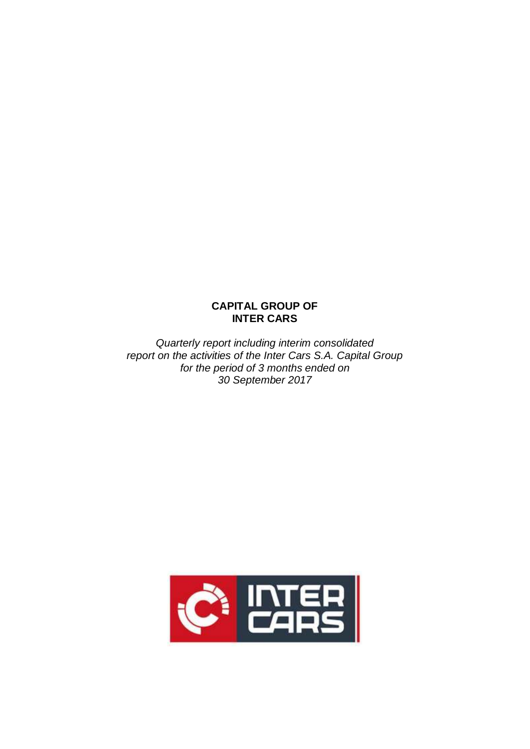# **CAPITAL GROUP OF INTER CARS**

*Quarterly report including interim consolidated report on the activities of the Inter Cars S.A. Capital Group for the period of 3 months ended on 30 September 2017*

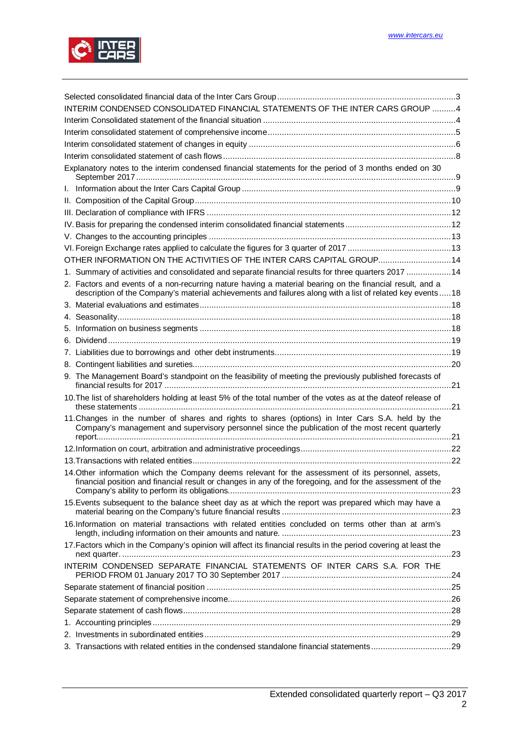

| INTERIM CONDENSED CONSOLIDATED FINANCIAL STATEMENTS OF THE INTER CARS GROUP 4                                                                                                                                           |  |
|-------------------------------------------------------------------------------------------------------------------------------------------------------------------------------------------------------------------------|--|
|                                                                                                                                                                                                                         |  |
|                                                                                                                                                                                                                         |  |
|                                                                                                                                                                                                                         |  |
|                                                                                                                                                                                                                         |  |
| Explanatory notes to the interim condensed financial statements for the period of 3 months ended on 30                                                                                                                  |  |
|                                                                                                                                                                                                                         |  |
|                                                                                                                                                                                                                         |  |
|                                                                                                                                                                                                                         |  |
|                                                                                                                                                                                                                         |  |
|                                                                                                                                                                                                                         |  |
|                                                                                                                                                                                                                         |  |
| OTHER INFORMATION ON THE ACTIVITIES OF THE INTER CARS CAPITAL GROUP 14                                                                                                                                                  |  |
| 1. Summary of activities and consolidated and separate financial results for three quarters 2017 14                                                                                                                     |  |
| 2. Factors and events of a non-recurring nature having a material bearing on the financial result, and a<br>description of the Company's material achievements and failures along with a list of related key events  18 |  |
|                                                                                                                                                                                                                         |  |
|                                                                                                                                                                                                                         |  |
|                                                                                                                                                                                                                         |  |
|                                                                                                                                                                                                                         |  |
|                                                                                                                                                                                                                         |  |
|                                                                                                                                                                                                                         |  |
|                                                                                                                                                                                                                         |  |
| 9. The Management Board's standpoint on the feasibility of meeting the previously published forecasts of                                                                                                                |  |
| 10. The list of shareholders holding at least 5% of the total number of the votes as at the dateof release of                                                                                                           |  |
| 11. Changes in the number of shares and rights to shares (options) in Inter Cars S.A. held by the<br>Company's management and supervisory personnel since the publication of the most recent quarterly                  |  |
|                                                                                                                                                                                                                         |  |
|                                                                                                                                                                                                                         |  |
| 14. Other information which the Company deems relevant for the assessment of its personnel, assets,<br>financial position and financial result or changes in any of the foregoing, and for the assessment of the        |  |
| 15. Events subsequent to the balance sheet day as at which the report was prepared which may have a                                                                                                                     |  |
| 16.Information on material transactions with related entities concluded on terms other than at arm's                                                                                                                    |  |
| 17. Factors which in the Company's opinion will affect its financial results in the period covering at least the                                                                                                        |  |
| INTERIM CONDENSED SEPARATE FINANCIAL STATEMENTS OF INTER CARS S.A. FOR THE                                                                                                                                              |  |
|                                                                                                                                                                                                                         |  |
|                                                                                                                                                                                                                         |  |
|                                                                                                                                                                                                                         |  |
|                                                                                                                                                                                                                         |  |
|                                                                                                                                                                                                                         |  |
| 3. Transactions with related entities in the condensed standalone financial statements29                                                                                                                                |  |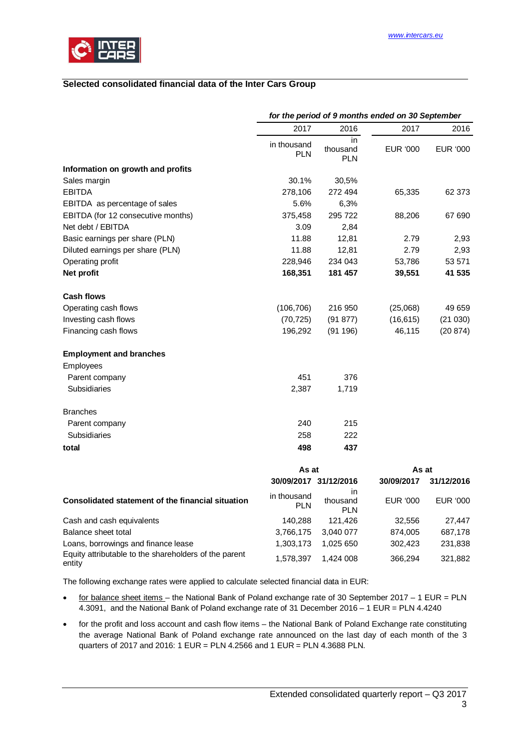<span id="page-2-0"></span>

# <span id="page-2-1"></span>**Selected consolidated financial data of the Inter Cars Group**

|                                                                 | for the period of 9 months ended on 30 September |                               |            |            |  |  |
|-----------------------------------------------------------------|--------------------------------------------------|-------------------------------|------------|------------|--|--|
|                                                                 | 2017                                             | 2016                          | 2017       | 2016       |  |  |
|                                                                 | in thousand<br><b>PLN</b>                        | in<br>thousand<br><b>PLN</b>  | EUR '000   | EUR '000   |  |  |
| Information on growth and profits                               |                                                  |                               |            |            |  |  |
| Sales margin                                                    | 30.1%                                            | 30,5%                         |            |            |  |  |
| <b>EBITDA</b>                                                   | 278,106                                          | 272 494                       | 65,335     | 62 373     |  |  |
| EBITDA as percentage of sales                                   | 5.6%                                             | 6,3%                          |            |            |  |  |
| EBITDA (for 12 consecutive months)                              | 375,458                                          | 295 722                       | 88,206     | 67 690     |  |  |
| Net debt / EBITDA                                               | 3.09                                             | 2,84                          |            |            |  |  |
| Basic earnings per share (PLN)                                  | 11.88                                            | 12,81                         | 2.79       | 2,93       |  |  |
| Diluted earnings per share (PLN)                                | 11.88                                            | 12,81                         | 2.79       | 2,93       |  |  |
| Operating profit                                                | 228,946                                          | 234 043                       | 53,786     | 53 571     |  |  |
| Net profit                                                      | 168,351                                          | 181 457                       | 39,551     | 41 535     |  |  |
| <b>Cash flows</b>                                               |                                                  |                               |            |            |  |  |
| Operating cash flows                                            | (106, 706)                                       | 216 950                       | (25,068)   | 49 659     |  |  |
| Investing cash flows                                            | (70, 725)                                        | (91877)                       | (16, 615)  | (21030)    |  |  |
| Financing cash flows                                            | 196,292                                          | (91196)                       | 46,115     | (20 874)   |  |  |
| <b>Employment and branches</b>                                  |                                                  |                               |            |            |  |  |
| Employees                                                       |                                                  |                               |            |            |  |  |
| Parent company                                                  | 451                                              | 376                           |            |            |  |  |
| Subsidiaries                                                    | 2,387                                            | 1,719                         |            |            |  |  |
| <b>Branches</b>                                                 |                                                  |                               |            |            |  |  |
| Parent company                                                  | 240                                              | 215                           |            |            |  |  |
| Subsidiaries                                                    | 258                                              | 222                           |            |            |  |  |
| total                                                           | 498                                              | 437                           |            |            |  |  |
|                                                                 | As at                                            |                               | As at      |            |  |  |
|                                                                 | 30/09/2017 31/12/2016                            |                               | 30/09/2017 | 31/12/2016 |  |  |
| Consolidated statement of the financial situation               | in thousand<br><b>PLN</b>                        | in.<br>thousand<br><b>PLN</b> | EUR '000   | EUR '000   |  |  |
| Cash and cash equivalents                                       | 140,288                                          | 121,426                       | 32,556     | 27,447     |  |  |
| Balance sheet total                                             | 3,766,175                                        | 3,040 077                     | 874,005    | 687,178    |  |  |
| Loans, borrowings and finance lease                             | 1,303,173                                        | 1,025 650                     | 302,423    | 231,838    |  |  |
| Equity attributable to the shareholders of the parent<br>entity | 1,578,397                                        | 1,424 008                     | 366,294    | 321,882    |  |  |

The following exchange rates were applied to calculate selected financial data in EUR:

- · for balance sheet items the National Bank of Poland exchange rate of 30 September 2017 1 EUR = PLN 4.3091, and the National Bank of Poland exchange rate of 31 December 2016 – 1 EUR = PLN 4.4240
- · for the profit and loss account and cash flow items the National Bank of Poland Exchange rate constituting the average National Bank of Poland exchange rate announced on the last day of each month of the 3 quarters of 2017 and 2016: 1 EUR = PLN 4.2566 and 1 EUR = PLN 4.3688 PLN.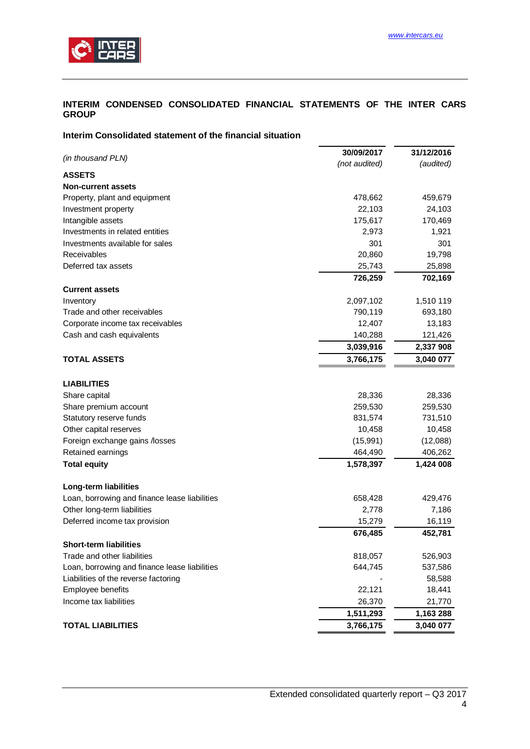

### <span id="page-3-0"></span>**INTERIM CONDENSED CONSOLIDATED FINANCIAL STATEMENTS OF THE INTER CARS GROUP**

#### <span id="page-3-1"></span>**Interim Consolidated statement of the financial situation**

|                                               | 30/09/2017    | 31/12/2016 |
|-----------------------------------------------|---------------|------------|
| (in thousand PLN)                             | (not audited) | (audited)  |
| <b>ASSETS</b>                                 |               |            |
| <b>Non-current assets</b>                     |               |            |
| Property, plant and equipment                 | 478,662       | 459,679    |
| Investment property                           | 22,103        | 24,103     |
| Intangible assets                             | 175,617       | 170,469    |
| Investments in related entities               | 2,973         | 1,921      |
| Investments available for sales               | 301           | 301        |
| Receivables                                   | 20,860        | 19,798     |
| Deferred tax assets                           | 25,743        | 25,898     |
|                                               | 726,259       | 702,169    |
| <b>Current assets</b>                         |               |            |
| Inventory                                     | 2,097,102     | 1,510 119  |
| Trade and other receivables                   | 790,119       | 693,180    |
| Corporate income tax receivables              | 12,407        | 13,183     |
| Cash and cash equivalents                     | 140,288       | 121,426    |
|                                               | 3,039,916     | 2,337 908  |
| <b>TOTAL ASSETS</b>                           | 3,766,175     | 3,040 077  |
|                                               |               |            |
| <b>LIABILITIES</b>                            |               |            |
| Share capital                                 | 28,336        | 28,336     |
| Share premium account                         | 259,530       | 259,530    |
| Statutory reserve funds                       | 831,574       | 731,510    |
| Other capital reserves                        | 10,458        | 10,458     |
| Foreign exchange gains /losses                | (15, 991)     | (12,088)   |
| Retained earnings                             | 464,490       | 406,262    |
| <b>Total equity</b>                           | 1,578,397     | 1,424 008  |
| Long-term liabilities                         |               |            |
| Loan, borrowing and finance lease liabilities | 658,428       | 429,476    |
| Other long-term liabilities                   | 2,778         | 7,186      |
| Deferred income tax provision                 | 15,279        | 16,119     |
|                                               | 676,485       | 452,781    |
| <b>Short-term liabilities</b>                 |               |            |
| Trade and other liabilities                   | 818,057       | 526,903    |
| Loan, borrowing and finance lease liabilities | 644,745       | 537,586    |
| Liabilities of the reverse factoring          |               | 58,588     |
| Employee benefits                             | 22,121        | 18,441     |
| Income tax liabilities                        | 26,370        | 21,770     |
|                                               | 1,511,293     | 1,163 288  |
| <b>TOTAL LIABILITIES</b>                      | 3,766,175     | 3,040 077  |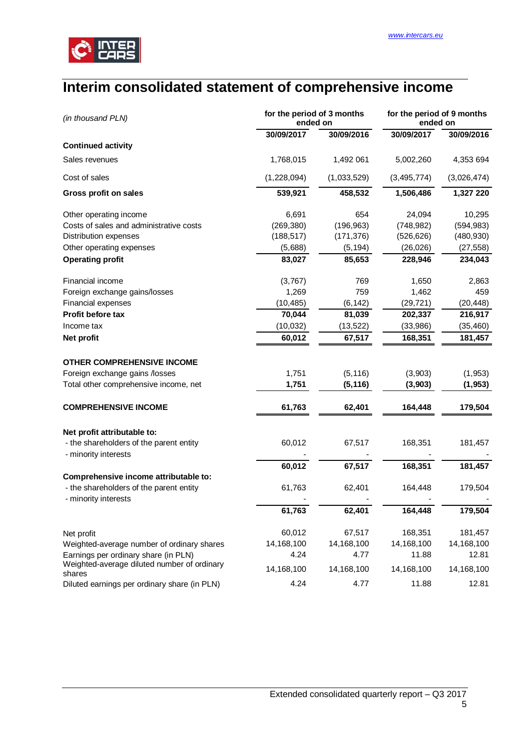

# <span id="page-4-0"></span>**Interim consolidated statement of comprehensive income**

| (in thousand PLN)                                               | for the period of 3 months<br>ended on |             | for the period of 9 months<br>ended on |             |  |
|-----------------------------------------------------------------|----------------------------------------|-------------|----------------------------------------|-------------|--|
|                                                                 | 30/09/2017                             | 30/09/2016  | 30/09/2017                             | 30/09/2016  |  |
| <b>Continued activity</b>                                       |                                        |             |                                        |             |  |
| Sales revenues                                                  | 1,768,015                              | 1,492 061   | 5,002,260                              | 4,353 694   |  |
| Cost of sales                                                   | (1,228,094)                            | (1,033,529) | (3, 495, 774)                          | (3,026,474) |  |
| Gross profit on sales                                           | 539,921                                | 458,532     | 1,506,486                              | 1,327 220   |  |
| Other operating income                                          | 6,691                                  | 654         | 24,094                                 | 10,295      |  |
| Costs of sales and administrative costs                         | (269, 380)                             | (196, 963)  | (748, 982)                             | (594, 983)  |  |
| <b>Distribution expenses</b>                                    | (188, 517)                             | (171, 376)  | (526, 626)                             | (480, 930)  |  |
| Other operating expenses                                        | (5,688)                                | (5, 194)    | (26, 026)                              | (27, 558)   |  |
| <b>Operating profit</b>                                         | 83,027                                 | 85,653      | 228,946                                | 234,043     |  |
| Financial income                                                | (3,767)                                | 769         | 1,650                                  | 2,863       |  |
| Foreign exchange gains/losses                                   | 1,269                                  | 759         | 1,462                                  | 459         |  |
| <b>Financial expenses</b>                                       | (10, 485)                              | (6, 142)    | (29, 721)                              | (20, 448)   |  |
| Profit before tax                                               | 70,044                                 | 81,039      | 202,337                                | 216,917     |  |
| Income tax                                                      | (10,032)                               | (13, 522)   | (33,986)                               | (35, 460)   |  |
| Net profit                                                      | 60,012                                 | 67,517      | 168,351                                | 181,457     |  |
| <b>OTHER COMPREHENSIVE INCOME</b>                               |                                        |             |                                        |             |  |
| Foreign exchange gains /losses                                  | 1,751                                  | (5, 116)    | (3,903)                                | (1, 953)    |  |
| Total other comprehensive income, net                           | 1,751                                  | (5, 116)    | (3,903)                                | (1, 953)    |  |
|                                                                 |                                        |             |                                        |             |  |
| <b>COMPREHENSIVE INCOME</b>                                     | 61,763                                 | 62,401      | 164,448                                | 179,504     |  |
| Net profit attributable to:                                     |                                        |             |                                        |             |  |
| - the shareholders of the parent entity                         | 60,012                                 | 67,517      | 168,351                                | 181,457     |  |
| - minority interests                                            |                                        |             |                                        |             |  |
|                                                                 | 60,012                                 | 67,517      | 168,351                                | 181,457     |  |
| Comprehensive income attributable to:                           |                                        |             |                                        |             |  |
| - the shareholders of the parent entity<br>- minority interests | 61,763                                 | 62,401      | 164,448                                | 179,504     |  |
|                                                                 | 61,763                                 | 62,401      | 164,448                                | 179,504     |  |
| Net profit                                                      | 60,012                                 | 67,517      | 168,351                                | 181,457     |  |
| Weighted-average number of ordinary shares                      | 14,168,100                             | 14,168,100  | 14,168,100                             | 14,168,100  |  |
| Earnings per ordinary share (in PLN)                            | 4.24                                   | 4.77        | 11.88                                  | 12.81       |  |
| Weighted-average diluted number of ordinary<br>shares           | 14,168,100                             | 14,168,100  | 14,168,100                             | 14,168,100  |  |
| Diluted earnings per ordinary share (in PLN)                    | 4.24                                   | 4.77        | 11.88                                  | 12.81       |  |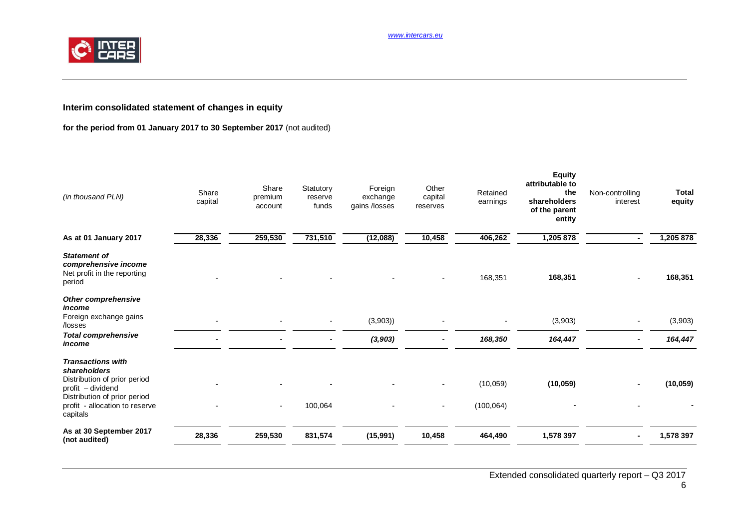*www.intercars.eu*



# <span id="page-5-0"></span>**Interim consolidated statement of changes in equity**

# **for the period from 01 January 2017 to 30 September 2017** (not audited)

| (in thousand PLN)                                                                                                                                                           | Share<br>capital | Share<br>premium<br>account | Statutory<br>reserve<br>funds | Foreign<br>exchange<br>gains /losses | Other<br>capital<br>reserves | Retained<br>earnings    | <b>Equity</b><br>attributable to<br>the<br>shareholders<br>of the parent<br>entity | Non-controlling<br>interest | <b>Total</b><br>equity |
|-----------------------------------------------------------------------------------------------------------------------------------------------------------------------------|------------------|-----------------------------|-------------------------------|--------------------------------------|------------------------------|-------------------------|------------------------------------------------------------------------------------|-----------------------------|------------------------|
| As at 01 January 2017                                                                                                                                                       | 28,336           | 259,530                     | 731,510                       | (12,088)                             | 10,458                       | 406,262                 | 1,205 878                                                                          |                             | 1,205 878              |
| <b>Statement of</b><br>comprehensive income<br>Net profit in the reporting<br>period                                                                                        |                  |                             |                               |                                      |                              | 168,351                 | 168,351                                                                            |                             | 168,351                |
| Other comprehensive<br>income<br>Foreign exchange gains<br>/losses                                                                                                          |                  |                             |                               | (3,903)                              |                              |                         | (3,903)                                                                            |                             | (3,903)                |
| <b>Total comprehensive</b><br>income                                                                                                                                        |                  |                             |                               | (3, 903)                             |                              | 168,350                 | 164,447                                                                            |                             | 164,447                |
| <b>Transactions with</b><br>shareholders<br>Distribution of prior period<br>profit - dividend<br>Distribution of prior period<br>profit - allocation to reserve<br>capitals |                  | $\blacksquare$              | 100,064                       |                                      |                              | (10, 059)<br>(100, 064) | (10, 059)                                                                          |                             | (10, 059)              |
| As at 30 September 2017<br>(not audited)                                                                                                                                    | 28,336           | 259,530                     | 831,574                       | (15, 991)                            | 10,458                       | 464,490                 | 1,578 397                                                                          |                             | 1,578 397              |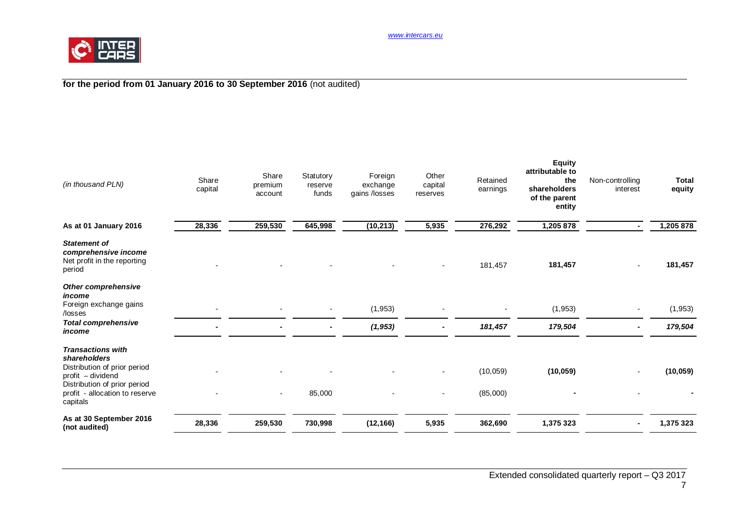

# **for the period from 01 January 2016 to 30 September 2016** (not audited)

| (in thousand PLN)                                                                                                                                                           | Share<br>capital | Share<br>premium<br>account | Statutory<br>reserve<br>funds | Foreign<br>exchange<br>gains /losses | Other<br>capital<br>reserves | Retained<br>earnings  | <b>Equity</b><br>attributable to<br>the<br>shareholders<br>of the parent<br>entity | Non-controlling<br>interest | <b>Total</b><br>equity |
|-----------------------------------------------------------------------------------------------------------------------------------------------------------------------------|------------------|-----------------------------|-------------------------------|--------------------------------------|------------------------------|-----------------------|------------------------------------------------------------------------------------|-----------------------------|------------------------|
| As at 01 January 2016                                                                                                                                                       | 28,336           | 259,530                     | 645,998                       | (10, 213)                            | 5,935                        | 276,292               | 1,205 878                                                                          |                             | 1,205 878              |
| <b>Statement of</b><br>comprehensive income<br>Net profit in the reporting<br>period                                                                                        |                  |                             |                               |                                      |                              | 181,457               | 181,457                                                                            |                             | 181,457                |
| <b>Other comprehensive</b><br>income<br>Foreign exchange gains<br>/losses                                                                                                   |                  |                             |                               | (1, 953)                             |                              |                       | (1, 953)                                                                           |                             | (1, 953)               |
| <b>Total comprehensive</b><br>income                                                                                                                                        |                  |                             |                               | (1, 953)                             |                              | 181,457               | 179,504                                                                            |                             | 179,504                |
| <b>Transactions with</b><br>shareholders<br>Distribution of prior period<br>profit - dividend<br>Distribution of prior period<br>profit - allocation to reserve<br>capitals |                  | $\overline{\phantom{a}}$    | 85,000                        |                                      |                              | (10, 059)<br>(85,000) | (10, 059)                                                                          |                             | (10, 059)              |
| As at 30 September 2016<br>(not audited)                                                                                                                                    | 28,336           | 259,530                     | 730,998                       | (12, 166)                            | 5,935                        | 362,690               | 1,375 323                                                                          |                             | 1,375 323              |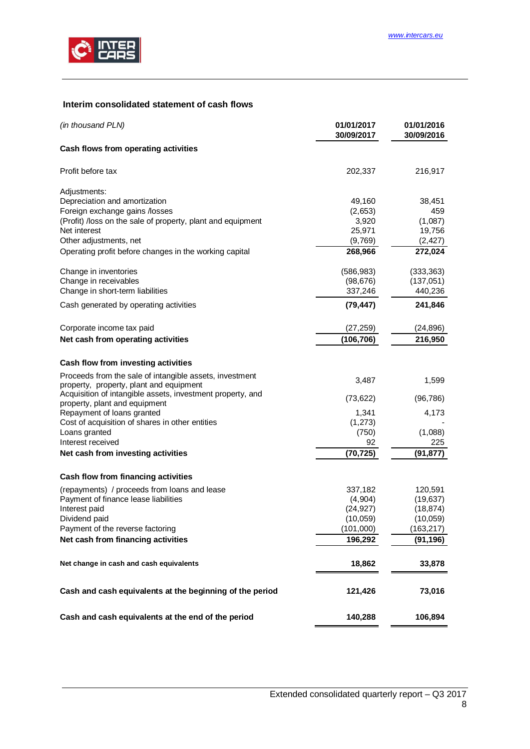

# <span id="page-7-0"></span>**Interim consolidated statement of cash flows**

| (in thousand PLN)                                                                                  | 01/01/2017<br>30/09/2017 | 01/01/2016<br>30/09/2016 |
|----------------------------------------------------------------------------------------------------|--------------------------|--------------------------|
| Cash flows from operating activities                                                               |                          |                          |
| Profit before tax                                                                                  | 202,337                  | 216,917                  |
| Adjustments:                                                                                       |                          |                          |
| Depreciation and amortization                                                                      | 49,160                   | 38,451                   |
| Foreign exchange gains /losses                                                                     | (2,653)                  | 459                      |
| (Profit) /loss on the sale of property, plant and equipment                                        | 3,920                    | (1,087)                  |
| Net interest                                                                                       | 25,971                   | 19,756                   |
| Other adjustments, net                                                                             | (9,769)                  | (2, 427)                 |
| Operating profit before changes in the working capital                                             | 268,966                  | 272,024                  |
| Change in inventories                                                                              | (586, 983)               | (333, 363)               |
| Change in receivables                                                                              | (98, 676)                | (137,051)                |
| Change in short-term liabilities                                                                   | 337,246                  | 440,236                  |
| Cash generated by operating activities                                                             | (79, 447)                | 241,846                  |
| Corporate income tax paid                                                                          | (27, 259)                | (24, 896)                |
| Net cash from operating activities                                                                 | (106, 706)               | 216,950                  |
|                                                                                                    |                          |                          |
| Cash flow from investing activities                                                                |                          |                          |
| Proceeds from the sale of intangible assets, investment<br>property, property, plant and equipment | 3,487                    | 1,599                    |
| Acquisition of intangible assets, investment property, and                                         |                          |                          |
| property, plant and equipment                                                                      | (73, 622)                | (96, 786)                |
| Repayment of loans granted                                                                         | 1,341                    | 4,173                    |
| Cost of acquisition of shares in other entities                                                    | (1, 273)                 |                          |
| Loans granted                                                                                      | (750)                    | (1,088)                  |
| Interest received                                                                                  | 92                       | 225                      |
| Net cash from investing activities                                                                 | (70, 725)                | (91, 877)                |
| Cash flow from financing activities                                                                |                          |                          |
| (repayments) / proceeds from loans and lease                                                       | 337,182                  | 120,591                  |
| Payment of finance lease liabilities                                                               | (4,904)                  | (19, 637)                |
| Interest paid                                                                                      | (24, 927)                | (18, 874)                |
| Dividend paid                                                                                      | (10, 059)                | (10, 059)                |
| Payment of the reverse factoring                                                                   | (101,000)                | (163, 217)               |
| Net cash from financing activities                                                                 | 196,292                  | (91, 196)                |
| Net change in cash and cash equivalents                                                            | 18,862                   | 33,878                   |
| Cash and cash equivalents at the beginning of the period                                           | 121,426                  | 73,016                   |
|                                                                                                    |                          |                          |
| Cash and cash equivalents at the end of the period                                                 | 140,288                  | 106,894                  |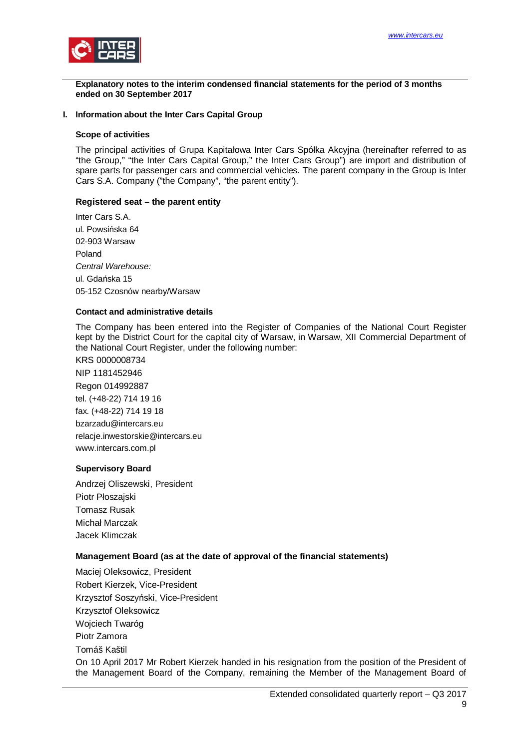

<span id="page-8-0"></span>**Explanatory notes to the interim condensed financial statements for the period of 3 months ended on 30 September 2017**

#### <span id="page-8-1"></span>**I. Information about the Inter Cars Capital Group**

#### **Scope of activities**

The principal activities of Grupa Kapitałowa Inter Cars Spółka Akcyjna (hereinafter referred to as "the Group," "the Inter Cars Capital Group," the Inter Cars Group") are import and distribution of spare parts for passenger cars and commercial vehicles. The parent company in the Group is Inter Cars S.A. Company ("the Company", "the parent entity").

#### **Registered seat – the parent entity**

Inter Cars S.A. ul. Powsińska 64 02-903 Warsaw Poland *Central Warehouse:* ul. Gdańska 15 05-152 Czosnów nearby/Warsaw

#### **Contact and administrative details**

The Company has been entered into the Register of Companies of the National Court Register kept by the District Court for the capital city of Warsaw, in Warsaw, XII Commercial Department of the National Court Register, under the following number:

KRS 0000008734 NIP 1181452946 Regon 014992887 tel. (+48-22) 714 19 16 fax. (+48-22) 714 19 18 bzarzadu@intercars.eu relacje.inwestorskie@intercars.eu www.intercars.com.pl

#### **Supervisory Board**

Andrzej Oliszewski, President Piotr Płoszajski Tomasz Rusak Michał Marczak Jacek Klimczak

#### **Management Board (as at the date of approval of the financial statements)**

Maciej Oleksowicz, President Robert Kierzek, Vice-President Krzysztof Soszyński, Vice-President Krzysztof Oleksowicz Wojciech Twaróg Piotr Zamora Tomáš Kaštil On 10 April 2017 Mr Robert Kierzek handed in his resignation from the position of the President of the Management Board of the Company, remaining the Member of the Management Board of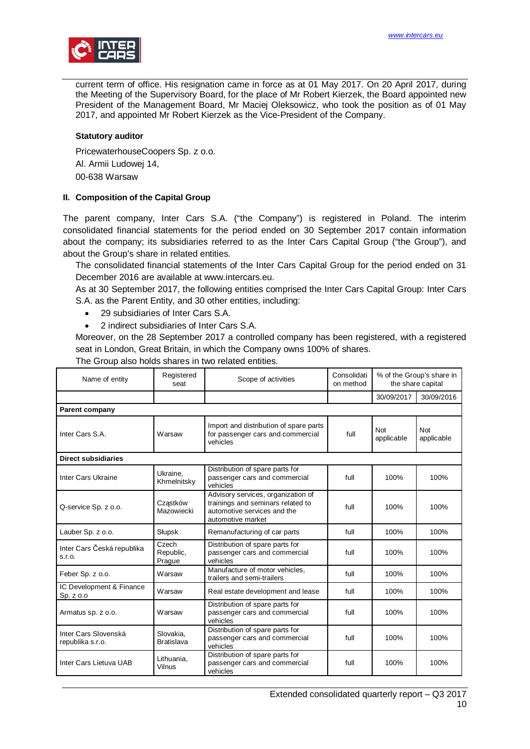

current term of office. His resignation came in force as at 01 May 2017. On 20 April 2017, during the Meeting of the Supervisory Board, for the place of Mr Robert Kierzek, the Board appointed new President of the Management Board, Mr Maciej Oleksowicz, who took the position as of 01 May 2017, and appointed Mr Robert Kierzek as the Vice-President of the Company.

#### **Statutory auditor**

PricewaterhouseCoopers Sp. z o.o.

Al. Armii Ludowej 14,

00-638 Warsaw

#### <span id="page-9-0"></span>**II. Composition of the Capital Group**

The parent company, Inter Cars S.A. ("the Company") is registered in Poland. The interim consolidated financial statements for the period ended on 30 September 2017 contain information about the company; its subsidiaries referred to as the Inter Cars Capital Group ("the Group"), and about the Group's share in related entities.

The consolidated financial statements of the Inter Cars Capital Group for the period ended on 31 December 2016 are available at www.intercars.eu.

As at 30 September 2017, the following entities comprised the Inter Cars Capital Group: Inter Cars S.A. as the Parent Entity, and 30 other entities, including:

- · 29 subsidiaries of Inter Cars S.A.
- · 2 indirect subsidiaries of Inter Cars S.A.

Moreover, on the 28 September 2017 a controlled company has been registered, with a registered seat in London, Great Britain, in which the Company owns 100% of shares.

The Group also holds shares in two related entities.

| Name of entity                           | Registered<br>seat             | Scope of activities                                                                                                         | Consolidati<br>on method | % of the Group's share in<br>the share capital |                   |
|------------------------------------------|--------------------------------|-----------------------------------------------------------------------------------------------------------------------------|--------------------------|------------------------------------------------|-------------------|
|                                          |                                |                                                                                                                             |                          | 30/09/2017                                     | 30/09/2016        |
| <b>Parent company</b>                    |                                |                                                                                                                             |                          |                                                |                   |
| Inter Cars S.A.                          | Warsaw                         | Import and distribution of spare parts<br>for passenger cars and commercial<br>vehicles                                     | full                     | Not<br>applicable                              | Not<br>applicable |
| <b>Direct subsidiaries</b>               |                                |                                                                                                                             |                          |                                                |                   |
| Inter Cars Ukraine                       | Ukraine.<br>Khmelnitsky        | Distribution of spare parts for<br>passenger cars and commercial<br>vehicles                                                | full                     | 100%                                           | 100%              |
| Q-service Sp. z o.o.                     | Czastków<br>Mazowiecki         | Advisory services, organization of<br>trainings and seminars related to<br>automotive services and the<br>automotive market | full                     | 100%                                           | 100%              |
| Lauber Sp. z o.o.                        | Słupsk                         | Remanufacturing of car parts                                                                                                | full                     | 100%                                           | 100%              |
| Inter Cars Česká republika<br>S.I.O.     | Czech<br>Republic,<br>Prague   | Distribution of spare parts for<br>passenger cars and commercial<br>vehicles                                                | full                     | 100%                                           | 100%              |
| Feber Sp. z o.o.                         | Warsaw                         | Manufacture of motor vehicles,<br>trailers and semi-trailers                                                                | full                     | 100%                                           | 100%              |
| IC Development & Finance<br>Sp. z o.o    | Warsaw                         | Real estate development and lease                                                                                           | full                     | 100%                                           | 100%              |
| Armatus sp. z o.o.                       | Warsaw                         | Distribution of spare parts for<br>passenger cars and commercial<br>vehicles                                                | full                     | 100%                                           | 100%              |
| Inter Cars Slovenská<br>republika s.r.o. | Slovakia.<br><b>Bratislava</b> | Distribution of spare parts for<br>passenger cars and commercial<br>vehicles                                                | full                     | 100%                                           | 100%              |
| Inter Cars Lietuva UAB                   | Lithuania.<br>Vilnus           | Distribution of spare parts for<br>passenger cars and commercial<br>vehicles                                                | full                     | 100%                                           | 100%              |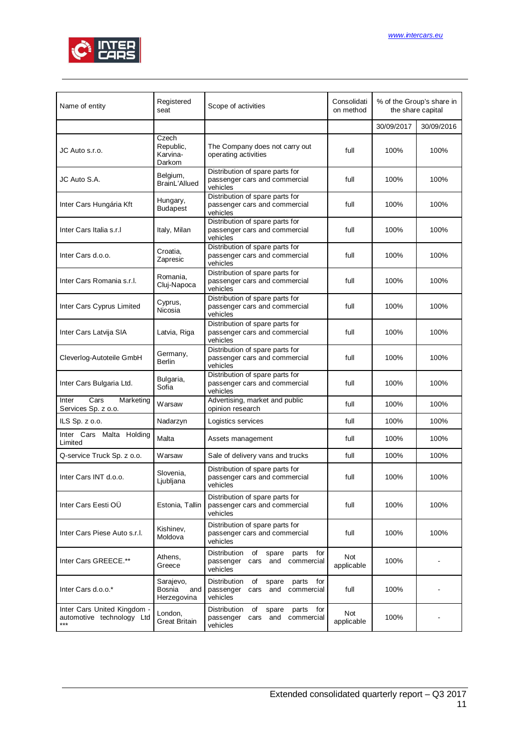

| Name of entity                                                    | Registered<br>seat                        | Scope of activities                                                                               | Consolidati<br>on method | % of the Group's share in<br>the share capital |            |
|-------------------------------------------------------------------|-------------------------------------------|---------------------------------------------------------------------------------------------------|--------------------------|------------------------------------------------|------------|
|                                                                   |                                           |                                                                                                   |                          | 30/09/2017                                     | 30/09/2016 |
| JC Auto s.r.o.                                                    | Czech<br>Republic,<br>Karvina-<br>Darkom  | The Company does not carry out<br>operating activities                                            | full                     | 100%                                           | 100%       |
| JC Auto S.A.                                                      | Belgium,<br>BrainL'Allued                 | Distribution of spare parts for<br>passenger cars and commercial<br>vehicles                      | full                     | 100%                                           | 100%       |
| Inter Cars Hungária Kft                                           | Hungary,<br><b>Budapest</b>               | Distribution of spare parts for<br>passenger cars and commercial<br>vehicles                      | full                     | 100%                                           | 100%       |
| Inter Cars Italia s.r.I                                           | Italy, Milan                              | Distribution of spare parts for<br>passenger cars and commercial<br>vehicles                      | full                     | 100%                                           | 100%       |
| Inter Cars d.o.o.                                                 | Croatia,<br>Zapresic                      | Distribution of spare parts for<br>passenger cars and commercial<br>vehicles                      | full                     | 100%                                           | 100%       |
| Inter Cars Romania s.r.l.                                         | Romania,<br>Cluj-Napoca                   | Distribution of spare parts for<br>passenger cars and commercial<br>vehicles                      | full                     | 100%                                           | 100%       |
| Inter Cars Cyprus Limited                                         | Cyprus,<br>Nicosia                        | Distribution of spare parts for<br>passenger cars and commercial<br>vehicles                      | full                     | 100%                                           | 100%       |
| Inter Cars Latvija SIA                                            | Latvia, Riga                              | Distribution of spare parts for<br>passenger cars and commercial<br>vehicles                      | full                     | 100%                                           | 100%       |
| Cleverlog-Autoteile GmbH                                          | Germany,<br><b>Berlin</b>                 | Distribution of spare parts for<br>passenger cars and commercial<br>vehicles                      | full                     | 100%                                           | 100%       |
| Inter Cars Bulgaria Ltd.                                          | Bulgaria,<br>Sofia                        | Distribution of spare parts for<br>passenger cars and commercial<br>vehicles                      | full                     | 100%                                           | 100%       |
| Cars<br>Marketing<br>Inter<br>Services Sp. z o.o.                 | Warsaw                                    | Advertising, market and public<br>opinion research                                                | full                     | 100%                                           | 100%       |
| ILS Sp. z o.o.                                                    | Nadarzyn                                  | Logistics services                                                                                | full                     | 100%                                           | 100%       |
| Inter Cars Malta Holding<br>Limited                               | Malta                                     | Assets management                                                                                 | full                     | 100%                                           | 100%       |
| Q-service Truck Sp. z o.o.                                        | Warsaw                                    | Sale of delivery vans and trucks                                                                  | full                     | 100%                                           | 100%       |
| Inter Cars INT d.o.o.                                             | Slovenia,<br>Ljubljana                    | Distribution of spare parts for<br>passenger cars and commercial<br>vehicles                      | full                     | 100%                                           | 100%       |
| Inter Cars Eesti OÜ                                               | Estonia, Tallin                           | Distribution of spare parts for<br>passenger cars and commercial<br>vehicles                      | full                     | 100%                                           | 100%       |
| Inter Cars Piese Auto s.r.l.                                      | Kishinev,<br>Moldova                      | Distribution of spare parts for<br>passenger cars and commercial<br>vehicles                      | full                     | 100%                                           | 100%       |
| Inter Cars GREECE.**                                              | Athens,<br>Greece                         | Distribution<br>of<br>spare<br>parts<br>for<br>and<br>commercial<br>passenger<br>cars<br>vehicles | Not<br>applicable        | 100%                                           |            |
| Inter Cars d.o.o.*                                                | Sarajevo,<br>Bosnia<br>and<br>Herzegovina | Distribution<br>of spare<br>parts<br>for<br>passenger<br>and<br>commercial<br>cars<br>vehicles    | full                     | 100%                                           |            |
| Inter Cars United Kingdom -<br>automotive technology Ltd<br>$***$ | London,<br><b>Great Britain</b>           | Distribution<br>of<br>parts<br>for<br>spare<br>commercial<br>passenger<br>cars<br>and<br>vehicles | Not<br>applicable        | 100%                                           |            |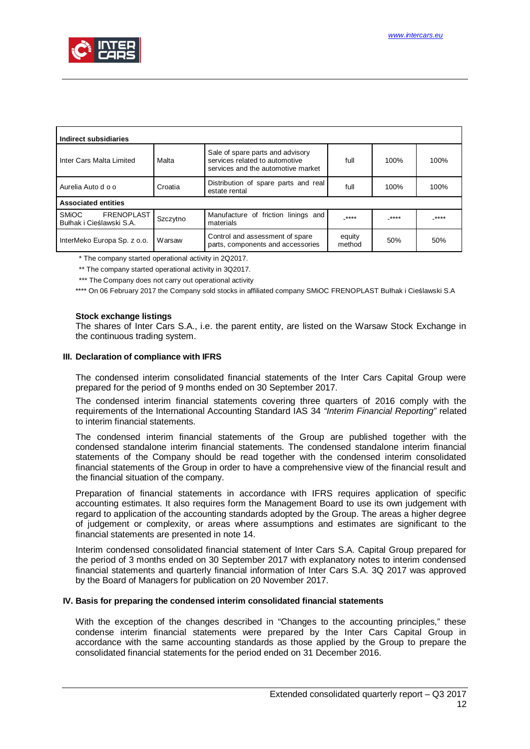

| Indirect subsidiaries                                  |          |                                                                                                          |                  |       |       |
|--------------------------------------------------------|----------|----------------------------------------------------------------------------------------------------------|------------------|-------|-------|
| Inter Cars Malta Limited                               | Malta    | Sale of spare parts and advisory<br>services related to automotive<br>services and the automotive market | full             | 100%  | 100%  |
| Aurelia Auto d o o                                     | Croatia  | Distribution of spare parts and real<br>estate rental                                                    | full             | 100%  | 100%  |
| <b>Associated entities</b>                             |          |                                                                                                          |                  |       |       |
| FRENOPLAST<br><b>SMIOC</b><br>Bułhak i Cieślawski S.A. | Szczytno | Manufacture of friction linings and<br>materials                                                         | $***$            | _**** | _**** |
| InterMeko Europa Sp. z o.o.                            | Warsaw   | Control and assessment of spare<br>parts, components and accessories                                     | equity<br>method | 50%   | 50%   |

\* The company started operational activity in 2Q2017.

\*\* The company started operational activity in 3Q2017.

\*\*\* The Company does not carry out operational activity

\*\*\*\* On 06 February 2017 the Company sold stocks in affiliated company SMiOC FRENOPLAST Bułhak i Cieślawski S.A

#### **Stock exchange listings**

The shares of Inter Cars S.A., i.e. the parent entity, are listed on the Warsaw Stock Exchange in the continuous trading system.

#### <span id="page-11-0"></span>**III. Declaration of compliance with IFRS**

The condensed interim consolidated financial statements of the Inter Cars Capital Group were prepared for the period of 9 months ended on 30 September 2017.

The condensed interim financial statements covering three quarters of 2016 comply with the requirements of the International Accounting Standard IAS 34 *"Interim Financial Reporting"* related to interim financial statements.

The condensed interim financial statements of the Group are published together with the condensed standalone interim financial statements. The condensed standalone interim financial statements of the Company should be read together with the condensed interim consolidated financial statements of the Group in order to have a comprehensive view of the financial result and the financial situation of the company.

Preparation of financial statements in accordance with IFRS requires application of specific accounting estimates. It also requires form the Management Board to use its own judgement with regard to application of the accounting standards adopted by the Group. The areas a higher degree of judgement or complexity, or areas where assumptions and estimates are significant to the financial statements are presented in note 14.

Interim condensed consolidated financial statement of Inter Cars S.A. Capital Group prepared for the period of 3 months ended on 30 September 2017 with explanatory notes to interim condensed financial statements and quarterly financial information of Inter Cars S.A. 3Q 2017 was approved by the Board of Managers for publication on 20 November 2017.

#### <span id="page-11-1"></span>**IV. Basis for preparing the condensed interim consolidated financial statements**

With the exception of the changes described in "Changes to the accounting principles," these condense interim financial statements were prepared by the Inter Cars Capital Group in accordance with the same accounting standards as those applied by the Group to prepare the consolidated financial statements for the period ended on 31 December 2016.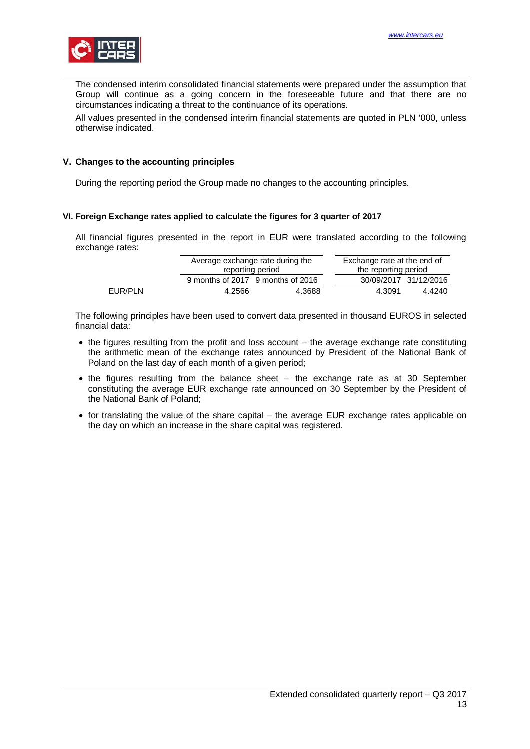

The condensed interim consolidated financial statements were prepared under the assumption that Group will continue as a going concern in the foreseeable future and that there are no circumstances indicating a threat to the continuance of its operations.

All values presented in the condensed interim financial statements are quoted in PLN '000, unless otherwise indicated.

#### <span id="page-12-0"></span>**V. Changes to the accounting principles**

During the reporting period the Group made no changes to the accounting principles.

#### <span id="page-12-1"></span>**VI. Foreign Exchange rates applied to calculate the figures for 3 quarter of 2017**

All financial figures presented in the report in EUR were translated according to the following exchange rates:

|         | reporting period | Average exchange rate during the  | Exchange rate at the end of<br>the reporting period |        |
|---------|------------------|-----------------------------------|-----------------------------------------------------|--------|
|         |                  | 9 months of 2017 9 months of 2016 | 30/09/2017 31/12/2016                               |        |
| EUR/PLN | 4.2566           | 4.3688                            | 4.3091                                              | 4.4240 |

The following principles have been used to convert data presented in thousand EUROS in selected financial data:

- · the figures resulting from the profit and loss account the average exchange rate constituting the arithmetic mean of the exchange rates announced by President of the National Bank of Poland on the last day of each month of a given period;
- · the figures resulting from the balance sheet the exchange rate as at 30 September constituting the average EUR exchange rate announced on 30 September by the President of the National Bank of Poland;
- · for translating the value of the share capital the average EUR exchange rates applicable on the day on which an increase in the share capital was registered.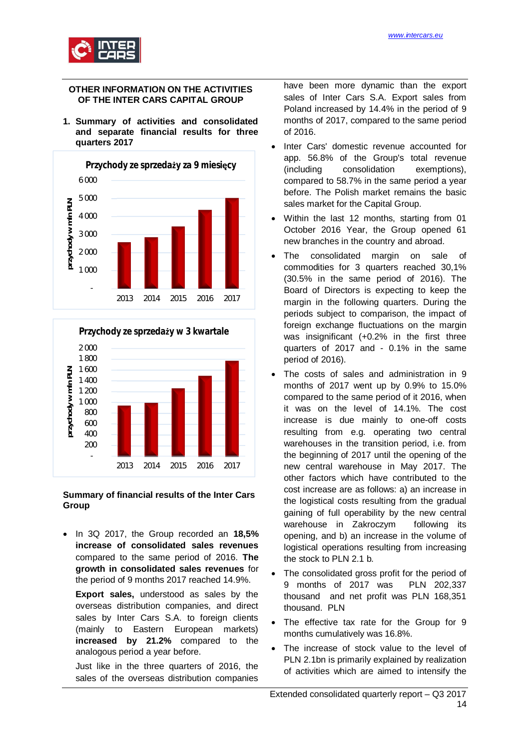

### <span id="page-13-0"></span>**OTHER INFORMATION ON THE ACTIVITIES OF THE INTER CARS CAPITAL GROUP**

<span id="page-13-1"></span>**1. Summary of activities and consolidated and separate financial results for three quarters 2017**





#### **Summary of financial results of the Inter Cars Group**

· In 3Q 2017, the Group recorded an **18,5% increase of consolidated sales revenues** compared to the same period of 2016. **The growth in consolidated sales revenues** for the period of 9 months 2017 reached 14.9%.

**Export sales,** understood as sales by the overseas distribution companies, and direct sales by Inter Cars S.A. to foreign clients (mainly to Eastern European markets) **increased by 21.2%** compared to the analogous period a year before.

Just like in the three quarters of 2016, the sales of the overseas distribution companies have been more dynamic than the export sales of Inter Cars S.A. Export sales from Poland increased by 14.4% in the period of 9 months of 2017, compared to the same period of 2016.

- · Inter Cars' domestic revenue accounted for app. 56.8% of the Group's total revenue (including consolidation exemptions), compared to 58.7% in the same period a year before. The Polish market remains the basic sales market for the Capital Group.
- Within the last 12 months, starting from 01 October 2016 Year, the Group opened 61 new branches in the country and abroad.
- The consolidated margin on sale of commodities for 3 quarters reached 30,1% (30.5% in the same period of 2016). The Board of Directors is expecting to keep the margin in the following quarters. During the periods subject to comparison, the impact of foreign exchange fluctuations on the margin was insignificant (+0.2% in the first three quarters of 2017 and - 0.1% in the same period of 2016).
- The costs of sales and administration in 9 months of 2017 went up by 0.9% to 15.0% compared to the same period of it 2016, when it was on the level of 14.1%. The cost increase is due mainly to one-off costs resulting from e.g. operating two central warehouses in the transition period, i.e. from the beginning of 2017 until the opening of the new central warehouse in May 2017. The other factors which have contributed to the cost increase are as follows: a) an increase in the logistical costs resulting from the gradual gaining of full operability by the new central warehouse in Zakroczym following its opening, and b) an increase in the volume of logistical operations resulting from increasing the stock to PLN 2.1 b.
- The consolidated gross profit for the period of 9 months of 2017 was PLN 202,337 thousand and net profit was PLN 168,351 thousand. PLN
- The effective tax rate for the Group for 9 months cumulatively was 16.8%.
- The increase of stock value to the level of PLN 2.1bn is primarily explained by realization of activities which are aimed to intensify the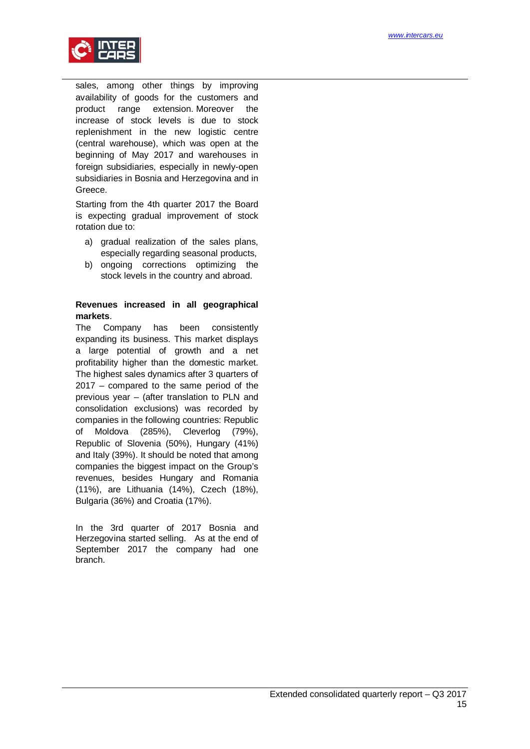

sales, among other things by improving availability of goods for the customers and product range extension. Moreover the increase of stock levels is due to stock replenishment in the new logistic centre (central warehouse), which was open at the beginning of May 2017 and warehouses in foreign subsidiaries, especially in newly-open subsidiaries in Bosnia and Herzegovina and in Greece.

Starting from the 4th quarter 2017 the Board is expecting gradual improvement of stock rotation due to:

- a) gradual realization of the sales plans, especially regarding seasonal products,
- b) ongoing corrections optimizing the stock levels in the country and abroad.

# **Revenues increased in all geographical markets**.

The Company has been consistently expanding its business. This market displays a large potential of growth and a net profitability higher than the domestic market. The highest sales dynamics after 3 quarters of 2017 – compared to the same period of the previous year – (after translation to PLN and consolidation exclusions) was recorded by companies in the following countries: Republic of Moldova (285%), Cleverlog (79%), Republic of Slovenia (50%), Hungary (41%) and Italy (39%). It should be noted that among companies the biggest impact on the Group's revenues, besides Hungary and Romania (11%), are Lithuania (14%), Czech (18%), Bulgaria (36%) and Croatia (17%).

In the 3rd quarter of 2017 Bosnia and Herzegovina started selling. As at the end of September 2017 the company had one branch.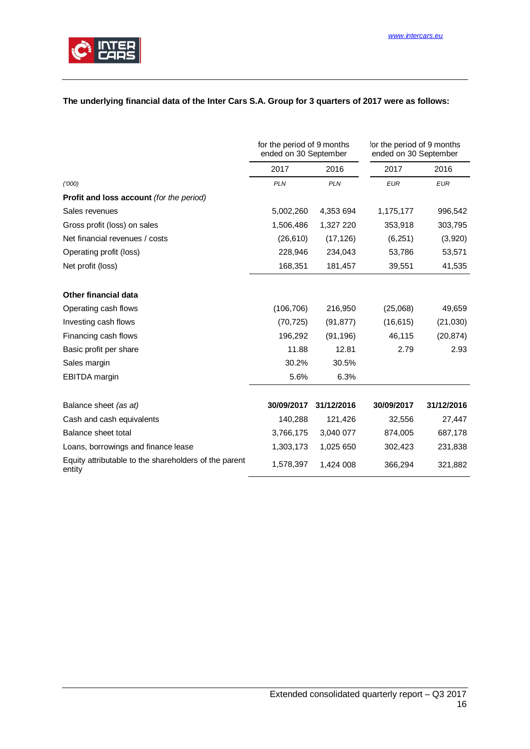

# **The underlying financial data of the Inter Cars S.A. Group for 3 quarters of 2017 were as follows:**

|                                                                 | for the period of 9 months<br>ended on 30 September |            | for the period of 9 months<br>ended on 30 September |            |
|-----------------------------------------------------------------|-----------------------------------------------------|------------|-----------------------------------------------------|------------|
|                                                                 | 2017                                                | 2016       | 2017                                                | 2016       |
| (1000)                                                          | <b>PLN</b>                                          | <b>PLN</b> | <b>EUR</b>                                          | <b>EUR</b> |
| <b>Profit and loss account (for the period)</b>                 |                                                     |            |                                                     |            |
| Sales revenues                                                  | 5,002,260                                           | 4,353 694  | 1,175,177                                           | 996,542    |
| Gross profit (loss) on sales                                    | 1,506,486                                           | 1,327 220  | 353,918                                             | 303,795    |
| Net financial revenues / costs                                  | (26, 610)                                           | (17, 126)  | (6,251)                                             | (3,920)    |
| Operating profit (loss)                                         | 228,946                                             | 234,043    | 53,786                                              | 53,571     |
| Net profit (loss)                                               | 168,351                                             | 181,457    | 39,551                                              | 41,535     |
| <b>Other financial data</b>                                     |                                                     |            |                                                     |            |
| Operating cash flows                                            | (106, 706)                                          | 216,950    | (25,068)                                            | 49,659     |
| Investing cash flows                                            | (70, 725)                                           | (91, 877)  | (16, 615)                                           | (21,030)   |
| Financing cash flows                                            | 196,292                                             | (91, 196)  | 46,115                                              | (20, 874)  |
| Basic profit per share                                          | 11.88                                               | 12.81      | 2.79                                                | 2.93       |
| Sales margin                                                    | 30.2%                                               | 30.5%      |                                                     |            |
| EBITDA margin                                                   | 5.6%                                                | 6.3%       |                                                     |            |
| Balance sheet (as at)                                           | 30/09/2017                                          | 31/12/2016 | 30/09/2017                                          | 31/12/2016 |
| Cash and cash equivalents                                       | 140,288                                             | 121,426    | 32,556                                              | 27,447     |
| Balance sheet total                                             | 3,766,175                                           | 3,040 077  | 874,005                                             | 687,178    |
| Loans, borrowings and finance lease                             | 1,303,173                                           | 1,025 650  | 302,423                                             | 231,838    |
| Equity attributable to the shareholders of the parent<br>entity | 1,578,397                                           | 1,424 008  | 366,294                                             | 321,882    |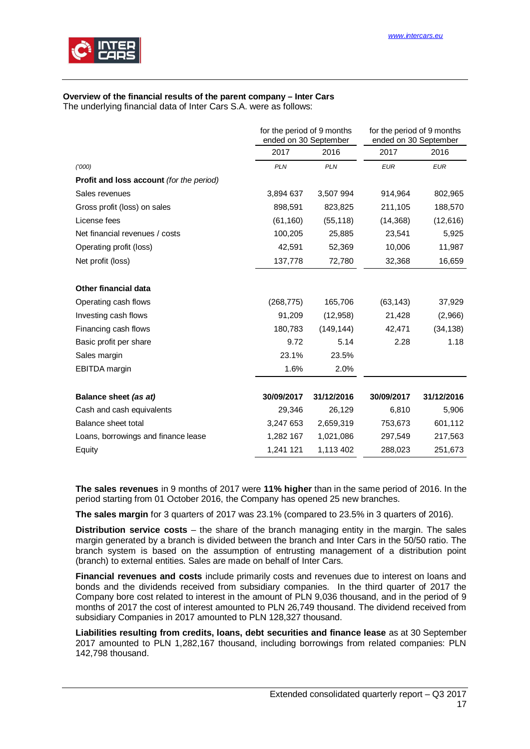

# **Overview of the financial results of the parent company – Inter Cars**

The underlying financial data of Inter Cars S.A. were as follows:

|                                                 | for the period of 9 months<br>ended on 30 September |            | for the period of 9 months<br>ended on 30 September |            |
|-------------------------------------------------|-----------------------------------------------------|------------|-----------------------------------------------------|------------|
|                                                 | 2017                                                | 2016       | 2017                                                | 2016       |
| (1000)                                          | <b>PLN</b>                                          | <b>PLN</b> | <b>EUR</b>                                          | <b>EUR</b> |
| <b>Profit and loss account</b> (for the period) |                                                     |            |                                                     |            |
| Sales revenues                                  | 3,894 637                                           | 3,507 994  | 914,964                                             | 802,965    |
| Gross profit (loss) on sales                    | 898,591                                             | 823,825    | 211,105                                             | 188,570    |
| License fees                                    | (61, 160)                                           | (55, 118)  | (14, 368)                                           | (12, 616)  |
| Net financial revenues / costs                  | 100,205                                             | 25,885     | 23,541                                              | 5,925      |
| Operating profit (loss)                         | 42,591                                              | 52,369     | 10,006                                              | 11,987     |
| Net profit (loss)                               | 137,778                                             | 72,780     | 32,368                                              | 16,659     |
| Other financial data                            |                                                     |            |                                                     |            |
| Operating cash flows                            | (268, 775)                                          | 165,706    | (63, 143)                                           | 37,929     |
| Investing cash flows                            | 91,209                                              | (12, 958)  | 21,428                                              | (2,966)    |
| Financing cash flows                            | 180,783                                             | (149, 144) | 42,471                                              | (34, 138)  |
| Basic profit per share                          | 9.72                                                | 5.14       | 2.28                                                | 1.18       |
| Sales margin                                    | 23.1%                                               | 23.5%      |                                                     |            |
| <b>EBITDA</b> margin                            | 1.6%                                                | 2.0%       |                                                     |            |
| Balance sheet (as at)                           | 30/09/2017                                          | 31/12/2016 | 30/09/2017                                          | 31/12/2016 |
| Cash and cash equivalents                       | 29,346                                              | 26,129     | 6,810                                               | 5,906      |
| Balance sheet total                             | 3,247 653                                           | 2,659,319  | 753,673                                             | 601,112    |
| Loans, borrowings and finance lease             | 1,282 167                                           | 1,021,086  | 297,549                                             | 217,563    |
| Equity                                          | 1,241 121                                           | 1,113 402  | 288,023                                             | 251,673    |

**The sales revenues** in 9 months of 2017 were **11% higher** than in the same period of 2016. In the period starting from 01 October 2016, the Company has opened 25 new branches.

**The sales margin** for 3 quarters of 2017 was 23.1% (compared to 23.5% in 3 quarters of 2016).

**Distribution service costs** – the share of the branch managing entity in the margin. The sales margin generated by a branch is divided between the branch and Inter Cars in the 50/50 ratio. The branch system is based on the assumption of entrusting management of a distribution point (branch) to external entities. Sales are made on behalf of Inter Cars.

**Financial revenues and costs** include primarily costs and revenues due to interest on loans and bonds and the dividends received from subsidiary companies. In the third quarter of 2017 the Company bore cost related to interest in the amount of PLN 9,036 thousand, and in the period of 9 months of 2017 the cost of interest amounted to PLN 26,749 thousand. The dividend received from subsidiary Companies in 2017 amounted to PLN 128,327 thousand.

**Liabilities resulting from credits, loans, debt securities and finance lease** as at 30 September 2017 amounted to PLN 1,282,167 thousand, including borrowings from related companies: PLN 142,798 thousand.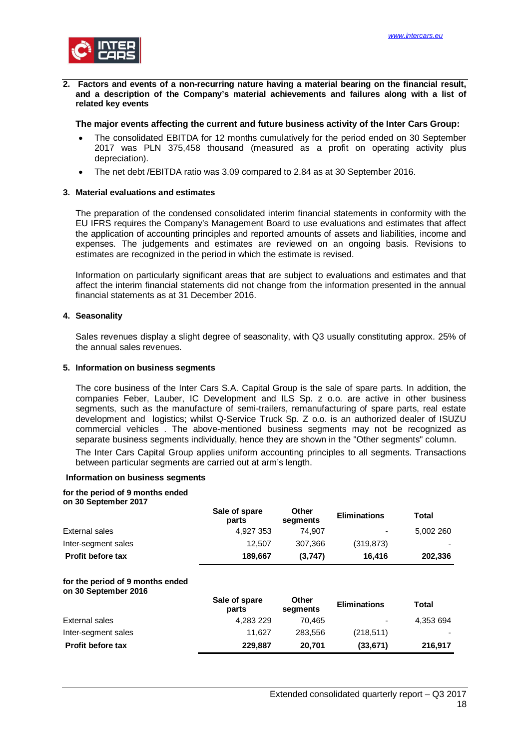

<span id="page-17-0"></span>**2. Factors and events of a non-recurring nature having a material bearing on the financial result, and a description of the Company's material achievements and failures along with a list of related key events**

#### **The major events affecting the current and future business activity of the Inter Cars Group:**

- The consolidated EBITDA for 12 months cumulatively for the period ended on 30 September 2017 was PLN 375,458 thousand (measured as a profit on operating activity plus depreciation).
- The net debt /EBITDA ratio was 3.09 compared to 2.84 as at 30 September 2016.

#### <span id="page-17-1"></span>**3. Material evaluations and estimates**

The preparation of the condensed consolidated interim financial statements in conformity with the EU IFRS requires the Company's Management Board to use evaluations and estimates that affect the application of accounting principles and reported amounts of assets and liabilities, income and expenses. The judgements and estimates are reviewed on an ongoing basis. Revisions to estimates are recognized in the period in which the estimate is revised.

Information on particularly significant areas that are subject to evaluations and estimates and that affect the interim financial statements did not change from the information presented in the annual financial statements as at 31 December 2016.

#### <span id="page-17-2"></span>**4. Seasonality**

Sales revenues display a slight degree of seasonality, with Q3 usually constituting approx. 25% of the annual sales revenues.

#### <span id="page-17-3"></span>**5. Information on business segments**

The core business of the Inter Cars S.A. Capital Group is the sale of spare parts. In addition, the companies Feber, Lauber, IC Development and ILS Sp. z o.o. are active in other business segments, such as the manufacture of semi-trailers, remanufacturing of spare parts, real estate development and logistics; whilst Q-Service Truck Sp. Z o.o. is an authorized dealer of ISUZU commercial vehicles . The above-mentioned business segments may not be recognized as separate business segments individually, hence they are shown in the "Other segments" column.

The Inter Cars Capital Group applies uniform accounting principles to all segments. Transactions between particular segments are carried out at arm's length.

#### **Information on business segments**

#### **for the period of 9 months ended**

**on 30 September 2017**

|                                                          | Sale of spare<br>parts | Other<br>segments | <b>Eliminations</b> | Total     |
|----------------------------------------------------------|------------------------|-------------------|---------------------|-----------|
| External sales                                           | 4,927 353              | 74.907            |                     | 5,002 260 |
| Inter-segment sales                                      | 12,507                 | 307.366           | (319, 873)          |           |
| Profit before tax                                        | 189,667                | (3,747)           | 16,416              | 202,336   |
| for the period of 9 months ended<br>on 30 September 2016 |                        |                   |                     |           |
|                                                          | Sale of spare<br>parts | Other<br>segments | <b>Eliminations</b> | Total     |
| External sales                                           | 4,283 229              | 70.465            |                     | 4,353 694 |
| Inter-segment sales                                      | 11,627                 | 283,556           | (218, 511)          |           |
| <b>Profit before tax</b>                                 | 229,887                | 20,701            | (33, 671)           | 216,917   |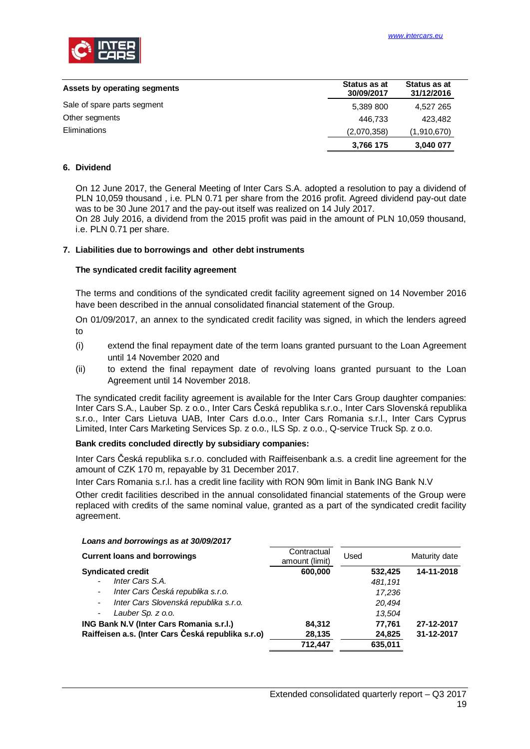

| Assets by operating segments | Status as at<br>30/09/2017 | Status as at<br>31/12/2016 |
|------------------------------|----------------------------|----------------------------|
| Sale of spare parts segment  | 5,389 800                  | 4,527 265                  |
| Other segments               | 446.733                    | 423.482                    |
| <b>Eliminations</b>          | (2,070,358)                | (1,910,670)                |
|                              | 3,766 175                  | 3,040 077                  |

#### <span id="page-18-0"></span>**6. Dividend**

On 12 June 2017, the General Meeting of Inter Cars S.A. adopted a resolution to pay a dividend of PLN 10,059 thousand , i.e. PLN 0.71 per share from the 2016 profit. Agreed dividend pay-out date was to be 30 June 2017 and the pay-out itself was realized on 14 July 2017.

On 28 July 2016, a dividend from the 2015 profit was paid in the amount of PLN 10,059 thousand, i.e. PLN 0.71 per share.

#### <span id="page-18-1"></span>**7. Liabilities due to borrowings and other debt instruments**

#### **The syndicated credit facility agreement**

The terms and conditions of the syndicated credit facility agreement signed on 14 November 2016 have been described in the annual consolidated financial statement of the Group.

On 01/09/2017, an annex to the syndicated credit facility was signed, in which the lenders agreed to

- (i) extend the final repayment date of the term loans granted pursuant to the Loan Agreement until 14 November 2020 and
- (ii) to extend the final repayment date of revolving loans granted pursuant to the Loan Agreement until 14 November 2018.

The syndicated credit facility agreement is available for the Inter Cars Group daughter companies: Inter Cars S.A., Lauber Sp. z o.o., Inter Cars Česká republika s.r.o., Inter Cars Slovenská republika s.r.o., Inter Cars Lietuva UAB, Inter Cars d.o.o., Inter Cars Romania s.r.l., Inter Cars Cyprus Limited, Inter Cars Marketing Services Sp. z o.o., ILS Sp. z o.o., Q-service Truck Sp. z o.o.

#### **Bank credits concluded directly by subsidiary companies:**

Inter Cars Česká republika s.r.o. concluded with Raiffeisenbank a.s. a credit line agreement for the amount of CZK 170 m, repayable by 31 December 2017.

Inter Cars Romania s.r.l. has a credit line facility with RON 90m limit in Bank ING Bank N.V Other credit facilities described in the annual consolidated financial statements of the Group were replaced with credits of the same nominal value, granted as a part of the syndicated credit facility agreement.

#### **Current loans and borrowings** amount (limit) Used Maturity date **Syndicated credit 600,000 532,425 14-11-2018** - *Inter Cars S.A. 481,191* - *Inter Cars Česká republika s.r.o. 17,236* - *Inter Cars Slovenská republika s.r.o. 20,494* - *Lauber Sp. z o.o. 13,504* **ING Bank N.V (Inter Cars Romania s.r.l.) 84,312 77,761 27-12-2017 Raiffeisen a.s. (Inter Cars Česká republika s.r.o) 28,135 24,825 31-12-2017 712,447 635,011**

#### *Loans and borrowings as at 30/09/2017*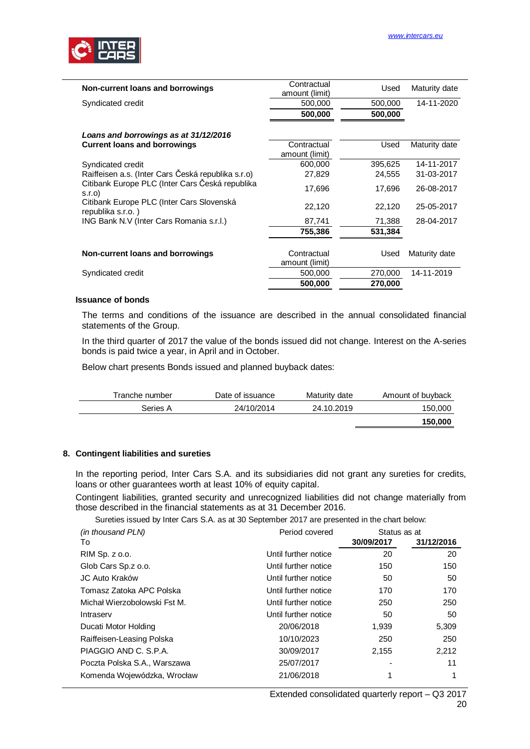

| Non-current loans and borrowings                               | Contractual<br>amount (limit) | Used    | Maturity date |
|----------------------------------------------------------------|-------------------------------|---------|---------------|
| Syndicated credit                                              | 500,000                       | 500,000 | 14-11-2020    |
|                                                                | 500,000                       | 500,000 |               |
| Loans and borrowings as at 31/12/2016                          |                               |         |               |
| <b>Current loans and borrowings</b>                            | Contractual<br>amount (limit) | Used    | Maturity date |
| Syndicated credit                                              | 600,000                       | 395,625 | 14-11-2017    |
| Raiffeisen a.s. (Inter Cars Česká republika s.r.o)             | 27,829                        | 24,555  | 31-03-2017    |
| Citibank Europe PLC (Inter Cars Česká republika<br>S.I.O       | 17,696                        | 17,696  | 26-08-2017    |
| Citibank Europe PLC (Inter Cars Slovenská<br>republika s.r.o.) | 22,120                        | 22,120  | 25-05-2017    |
| ING Bank N.V (Inter Cars Romania s.r.l.)                       | 87,741                        | 71,388  | 28-04-2017    |
|                                                                | 755,386                       | 531,384 |               |
|                                                                |                               |         |               |
| Non-current loans and borrowings                               | Contractual<br>amount (limit) | Used    | Maturity date |
| Syndicated credit                                              | 500,000                       | 270,000 | 14-11-2019    |
|                                                                | 500,000                       | 270,000 |               |

#### **Issuance of bonds**

The terms and conditions of the issuance are described in the annual consolidated financial statements of the Group.

In the third quarter of 2017 the value of the bonds issued did not change. Interest on the A-series bonds is paid twice a year, in April and in October.

Below chart presents Bonds issued and planned buyback dates:

| Tranche number | Date of issuance | Maturity date | Amount of buyback |
|----------------|------------------|---------------|-------------------|
| Series A       | 24/10/2014       | 24.10.2019    | 150,000           |
|                |                  |               | 150,000           |

#### <span id="page-19-0"></span>**8. Contingent liabilities and sureties**

In the reporting period, Inter Cars S.A. and its subsidiaries did not grant any sureties for credits, loans or other guarantees worth at least 10% of equity capital.

Contingent liabilities, granted security and unrecognized liabilities did not change materially from those described in the financial statements as at 31 December 2016.

Sureties issued by Inter Cars S.A. as at 30 September 2017 are presented in the chart below:

| (in thousand PLN)            | Period covered       | Status as at |            |
|------------------------------|----------------------|--------------|------------|
| To                           |                      | 30/09/2017   | 31/12/2016 |
| RIM Sp. z o.o.               | Until further notice | 20           | 20         |
| Glob Cars Sp. z o.o.         | Until further notice | 150          | 150        |
| JC Auto Kraków               | Until further notice | 50           | 50         |
| Tomasz Zatoka APC Polska     | Until further notice | 170          | 170        |
| Michał Wierzobolowski Fst M. | Until further notice | 250          | 250        |
| Intraserv                    | Until further notice | 50           | 50         |
| Ducati Motor Holding         | 20/06/2018           | 1,939        | 5,309      |
| Raiffeisen-Leasing Polska    | 10/10/2023           | 250          | 250        |
| PIAGGIO AND C. S.P.A.        | 30/09/2017           | 2,155        | 2,212      |
| Poczta Polska S.A., Warszawa | 25/07/2017           |              | 11         |
| Komenda Wojewódzka, Wrocław  | 21/06/2018           | 1            |            |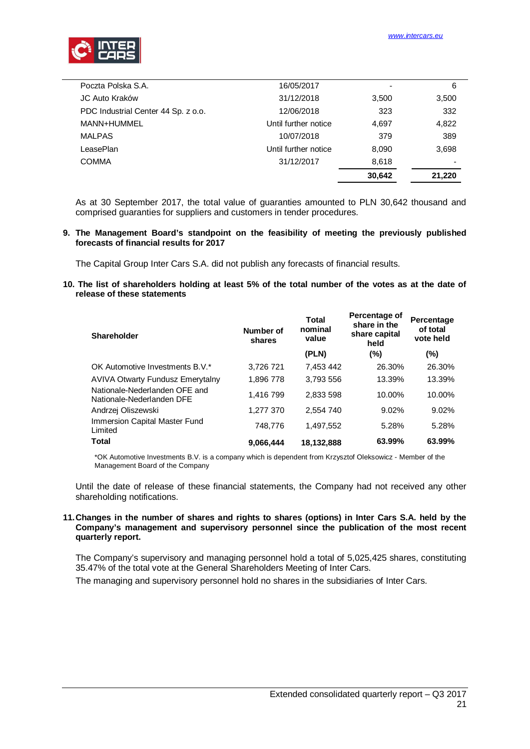

| Poczta Polska S.A.                  | 16/05/2017           |        | 6      |
|-------------------------------------|----------------------|--------|--------|
|                                     |                      |        |        |
| JC Auto Kraków                      | 31/12/2018           | 3,500  | 3,500  |
| PDC Industrial Center 44 Sp. z o.o. | 12/06/2018           | 323    | 332    |
| MANN+HUMMEL                         | Until further notice | 4,697  | 4,822  |
| <b>MALPAS</b>                       | 10/07/2018           | 379    | 389    |
| LeasePlan                           | Until further notice | 8,090  | 3,698  |
| <b>COMMA</b>                        | 31/12/2017           | 8,618  | ٠      |
|                                     |                      | 30,642 | 21,220 |
|                                     |                      |        |        |

As at 30 September 2017, the total value of guaranties amounted to PLN 30,642 thousand and comprised guaranties for suppliers and customers in tender procedures.

#### <span id="page-20-0"></span>**9. The Management Board's standpoint on the feasibility of meeting the previously published forecasts of financial results for 2017**

The Capital Group Inter Cars S.A. did not publish any forecasts of financial results.

<span id="page-20-1"></span>**10. The list of shareholders holding at least 5% of the total number of the votes as at the date of release of these statements**

| <b>Shareholder</b>                                         | Number of<br>shares | <b>Total</b><br>nominal<br>value | Percentage of<br>share in the<br>share capital<br>held | Percentage<br>of total<br>vote held |
|------------------------------------------------------------|---------------------|----------------------------------|--------------------------------------------------------|-------------------------------------|
|                                                            |                     | (PLN)                            | (%)                                                    | $(\% )$                             |
| OK Automotive Investments B.V.*                            | 3.726 721           | 7.453 442                        | 26.30%                                                 | 26.30%                              |
| <b>AVIVA Otwarty Fundusz Emerytalny</b>                    | 1.896 778           | 3.793 556                        | 13.39%                                                 | 13.39%                              |
| Nationale-Nederlanden OFE and<br>Nationale-Nederlanden DFE | 1.416 799           | 2.833 598                        | 10.00%                                                 | 10.00%                              |
| Andrzej Oliszewski                                         | 1,277 370           | 2.554 740                        | 9.02%                                                  | 9.02%                               |
| Immersion Capital Master Fund<br>Limited                   | 748,776             | 1,497,552                        | 5.28%                                                  | 5.28%                               |
| <b>Total</b>                                               | 9,066,444           | 18,132,888                       | 63.99%                                                 | 63.99%                              |

\*OK Automotive Investments B.V. is a company which is dependent from Krzysztof Oleksowicz - Member of the Management Board of the Company

Until the date of release of these financial statements, the Company had not received any other shareholding notifications.

#### <span id="page-20-2"></span>**11. Changes in the number of shares and rights to shares (options) in Inter Cars S.A. held by the Company's management and supervisory personnel since the publication of the most recent quarterly report.**

The Company's supervisory and managing personnel hold a total of 5,025,425 shares, constituting 35.47% of the total vote at the General Shareholders Meeting of Inter Cars.

The managing and supervisory personnel hold no shares in the subsidiaries of Inter Cars.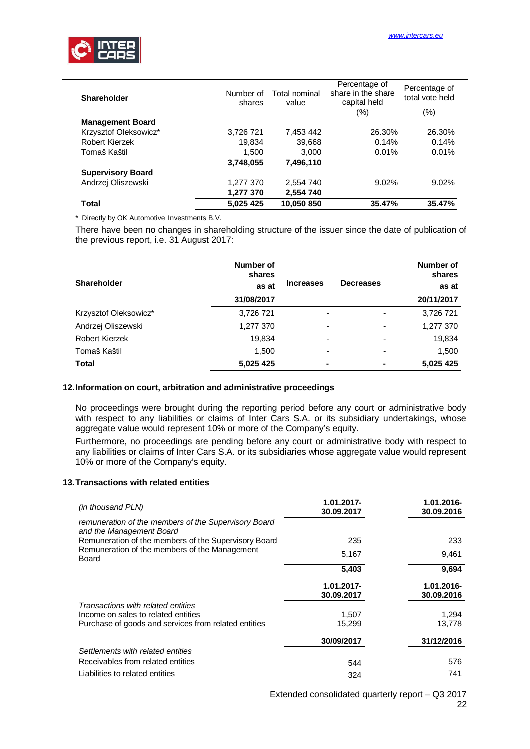

| <b>Shareholder</b>       | Number of<br>shares | Total nominal<br>value | Percentage of<br>share in the share<br>capital held | Percentage of<br>total vote held |
|--------------------------|---------------------|------------------------|-----------------------------------------------------|----------------------------------|
|                          |                     |                        | (%)                                                 | $(\% )$                          |
| <b>Management Board</b>  |                     |                        |                                                     |                                  |
| Krzysztof Oleksowicz*    | 3.726 721           | 7.453 442              | 26.30%                                              | 26.30%                           |
| Robert Kierzek           | 19,834              | 39,668                 | 0.14%                                               | 0.14%                            |
| Tomaš Kaštil             | 1,500               | 3.000                  | 0.01%                                               | 0.01%                            |
|                          | 3,748,055           | 7,496,110              |                                                     |                                  |
| <b>Supervisory Board</b> |                     |                        |                                                     |                                  |
| Andrzej Oliszewski       | 1,277 370           | 2,554 740              | 9.02%                                               | 9.02%                            |
|                          | 1,277 370           | 2,554 740              |                                                     |                                  |
| <b>Total</b>             | 5,025 425           | 10,050 850             | 35.47%                                              | 35.47%                           |

\* Directly by OK Automotive Investments B.V.

There have been no changes in shareholding structure of the issuer since the date of publication of the previous report, i.e. 31 August 2017:

| <b>Shareholder</b>    | Number of<br>shares<br>as at | <b>Increases</b>         | <b>Decreases</b>         | Number of<br>shares<br>as at |
|-----------------------|------------------------------|--------------------------|--------------------------|------------------------------|
|                       | 31/08/2017                   |                          |                          | 20/11/2017                   |
| Krzysztof Oleksowicz* | 3,726 721                    |                          |                          | 3,726 721                    |
| Andrzej Oliszewski    | 1,277 370                    | $\overline{\phantom{0}}$ |                          | 1,277 370                    |
| Robert Kierzek        | 19,834                       | $\overline{\phantom{0}}$ | $\overline{\phantom{0}}$ | 19,834                       |
| Tomaš Kaštil          | 1,500                        | $\overline{\phantom{0}}$ |                          | 1,500                        |
| <b>Total</b>          | 5,025 425                    |                          |                          | 5,025 425                    |

#### <span id="page-21-0"></span>**12. Information on court, arbitration and administrative proceedings**

No proceedings were brought during the reporting period before any court or administrative body with respect to any liabilities or claims of Inter Cars S.A. or its subsidiary undertakings, whose aggregate value would represent 10% or more of the Company's equity.

Furthermore, no proceedings are pending before any court or administrative body with respect to any liabilities or claims of Inter Cars S.A. or its subsidiaries whose aggregate value would represent 10% or more of the Company's equity.

#### <span id="page-21-1"></span>**13. Transactions with related entities**

| (in thousand PLN)                                                                           | $1.01.2017 -$<br>30.09.2017 | 1.01.2016-<br>30.09.2016 |
|---------------------------------------------------------------------------------------------|-----------------------------|--------------------------|
| remuneration of the members of the Supervisory Board<br>and the Management Board            |                             |                          |
| Remuneration of the members of the Supervisory Board                                        | 235                         | 233                      |
| Remuneration of the members of the Management<br>Board                                      | 5,167                       | 9,461                    |
|                                                                                             | 5,403                       | 9,694                    |
|                                                                                             | $1.01.2017 -$<br>30.09.2017 | 1.01.2016-<br>30.09.2016 |
| Transactions with related entities                                                          |                             |                          |
| Income on sales to related entities<br>Purchase of goods and services from related entities | 1,507<br>15,299             | 1,294<br>13,778          |
|                                                                                             | 30/09/2017                  | 31/12/2016               |
| Settlements with related entities                                                           |                             |                          |
| Receivables from related entities                                                           | 544                         | 576                      |
| Liabilities to related entities                                                             | 324                         | 741                      |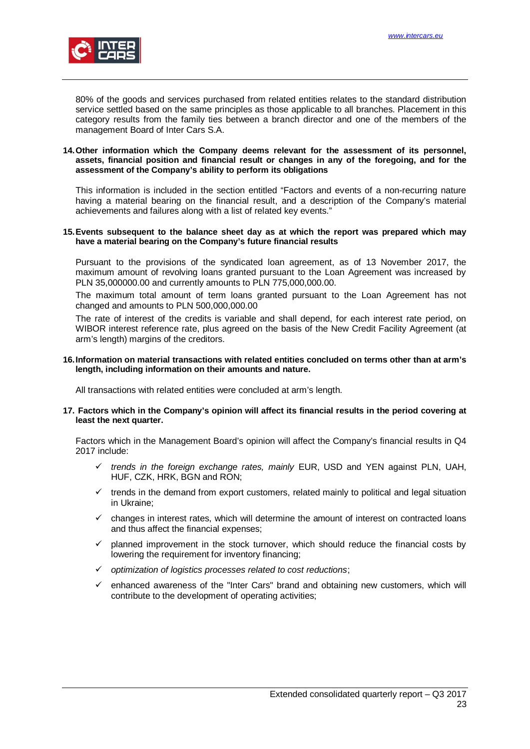

80% of the goods and services purchased from related entities relates to the standard distribution service settled based on the same principles as those applicable to all branches. Placement in this category results from the family ties between a branch director and one of the members of the management Board of Inter Cars S.A.

#### <span id="page-22-0"></span>**14. Other information which the Company deems relevant for the assessment of its personnel, assets, financial position and financial result or changes in any of the foregoing, and for the assessment of the Company's ability to perform its obligations**

This information is included in the section entitled "Factors and events of a non-recurring nature having a material bearing on the financial result, and a description of the Company's material achievements and failures along with a list of related key events."

#### <span id="page-22-1"></span>**15. Events subsequent to the balance sheet day as at which the report was prepared which may have a material bearing on the Company's future financial results**

Pursuant to the provisions of the syndicated loan agreement, as of 13 November 2017, the maximum amount of revolving loans granted pursuant to the Loan Agreement was increased by PLN 35,000000.00 and currently amounts to PLN 775,000,000.00.

The maximum total amount of term loans granted pursuant to the Loan Agreement has not changed and amounts to PLN 500,000,000.00

The rate of interest of the credits is variable and shall depend, for each interest rate period, on WIBOR interest reference rate, plus agreed on the basis of the New Credit Facility Agreement (at arm's length) margins of the creditors.

#### <span id="page-22-2"></span>**16. Information on material transactions with related entities concluded on terms other than at arm's length, including information on their amounts and nature.**

All transactions with related entities were concluded at arm's length.

#### <span id="page-22-3"></span>**17. Factors which in the Company's opinion will affect its financial results in the period covering at least the next quarter.**

Factors which in the Management Board's opinion will affect the Company's financial results in Q4 2017 include:

- ü *trends in the foreign exchange rates, mainly* EUR, USD and YEN against PLN, UAH, HUF, CZK, HRK, BGN and RON;
- ü trends in the demand from export customers, related mainly to political and legal situation in Ukraine;
- $\checkmark$  changes in interest rates, which will determine the amount of interest on contracted loans and thus affect the financial expenses;
- $\checkmark$  planned improvement in the stock turnover, which should reduce the financial costs by lowering the requirement for inventory financing;
- ü *optimization of logistics processes related to cost reductions*;
- $\checkmark$  enhanced awareness of the "Inter Cars" brand and obtaining new customers, which will contribute to the development of operating activities;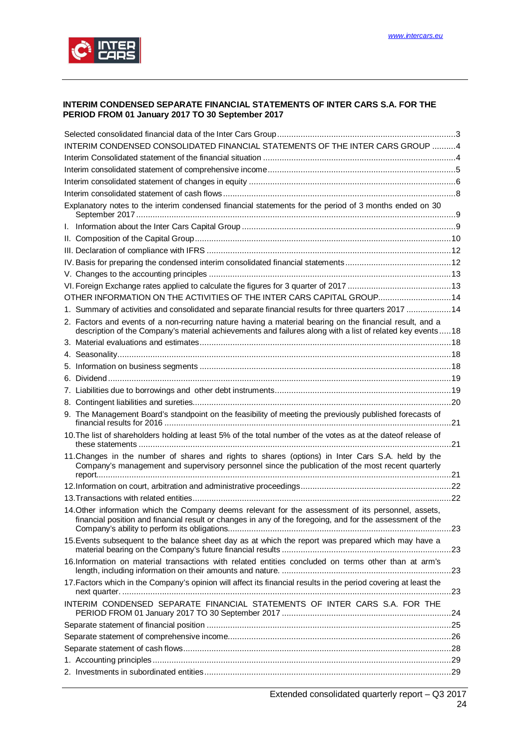

#### <span id="page-23-0"></span>**INTERIM CONDENSED SEPARATE FINANCIAL STATEMENTS OF INTER CARS S.A. FOR THE PERIOD FROM 01 January 2017 TO 30 September 2017**

| INTERIM CONDENSED CONSOLIDATED FINANCIAL STATEMENTS OF THE INTER CARS GROUP 4                                                                                                                                           |  |
|-------------------------------------------------------------------------------------------------------------------------------------------------------------------------------------------------------------------------|--|
|                                                                                                                                                                                                                         |  |
|                                                                                                                                                                                                                         |  |
|                                                                                                                                                                                                                         |  |
|                                                                                                                                                                                                                         |  |
| Explanatory notes to the interim condensed financial statements for the period of 3 months ended on 30                                                                                                                  |  |
|                                                                                                                                                                                                                         |  |
|                                                                                                                                                                                                                         |  |
|                                                                                                                                                                                                                         |  |
|                                                                                                                                                                                                                         |  |
|                                                                                                                                                                                                                         |  |
|                                                                                                                                                                                                                         |  |
| OTHER INFORMATION ON THE ACTIVITIES OF THE INTER CARS CAPITAL GROUP14                                                                                                                                                   |  |
| 1. Summary of activities and consolidated and separate financial results for three quarters 2017 14                                                                                                                     |  |
| 2. Factors and events of a non-recurring nature having a material bearing on the financial result, and a<br>description of the Company's material achievements and failures along with a list of related key events  18 |  |
|                                                                                                                                                                                                                         |  |
|                                                                                                                                                                                                                         |  |
|                                                                                                                                                                                                                         |  |
|                                                                                                                                                                                                                         |  |
|                                                                                                                                                                                                                         |  |
|                                                                                                                                                                                                                         |  |
| 9. The Management Board's standpoint on the feasibility of meeting the previously published forecasts of                                                                                                                |  |
| 10. The list of shareholders holding at least 5% of the total number of the votes as at the dateof release of                                                                                                           |  |
| 11. Changes in the number of shares and rights to shares (options) in Inter Cars S.A. held by the<br>Company's management and supervisory personnel since the publication of the most recent quarterly                  |  |
|                                                                                                                                                                                                                         |  |
|                                                                                                                                                                                                                         |  |
| 14. Other information which the Company deems relevant for the assessment of its personnel, assets,<br>financial position and financial result or changes in any of the foregoing, and for the assessment of the        |  |
| 15. Events subsequent to the balance sheet day as at which the report was prepared which may have a                                                                                                                     |  |
| 16.Information on material transactions with related entities concluded on terms other than at arm's                                                                                                                    |  |
| 17. Factors which in the Company's opinion will affect its financial results in the period covering at least the                                                                                                        |  |
| INTERIM CONDENSED SEPARATE FINANCIAL STATEMENTS OF INTER CARS S.A. FOR THE                                                                                                                                              |  |
|                                                                                                                                                                                                                         |  |
|                                                                                                                                                                                                                         |  |
|                                                                                                                                                                                                                         |  |
|                                                                                                                                                                                                                         |  |
|                                                                                                                                                                                                                         |  |
|                                                                                                                                                                                                                         |  |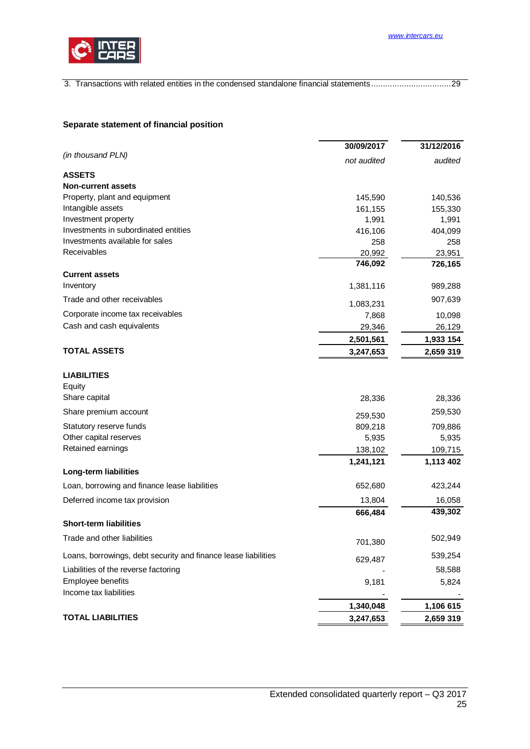

3. [Transactions with related entities in the condensed standalone financial statements .................................. 29](#page-28-2)

# <span id="page-24-0"></span>**Separate statement of financial position**

|                                                                | 30/09/2017  | 31/12/2016 |
|----------------------------------------------------------------|-------------|------------|
| (in thousand PLN)                                              | not audited | audited    |
| <b>ASSETS</b>                                                  |             |            |
| <b>Non-current assets</b>                                      |             |            |
| Property, plant and equipment                                  | 145,590     | 140,536    |
| Intangible assets                                              | 161,155     | 155,330    |
| Investment property                                            | 1,991       | 1,991      |
| Investments in subordinated entities                           | 416,106     | 404,099    |
| Investments available for sales                                | 258         | 258        |
| Receivables                                                    | 20,992      | 23,951     |
|                                                                | 746,092     | 726,165    |
| <b>Current assets</b>                                          |             |            |
| Inventory                                                      | 1,381,116   | 989,288    |
| Trade and other receivables                                    | 1,083,231   | 907,639    |
| Corporate income tax receivables                               | 7,868       | 10,098     |
| Cash and cash equivalents                                      | 29,346      | 26,129     |
|                                                                | 2,501,561   | 1,933 154  |
| <b>TOTAL ASSETS</b>                                            | 3,247,653   | 2,659 319  |
| <b>LIABILITIES</b>                                             |             |            |
| Equity                                                         |             |            |
| Share capital                                                  | 28,336      | 28,336     |
| Share premium account                                          | 259,530     | 259,530    |
| Statutory reserve funds                                        | 809,218     | 709,886    |
| Other capital reserves                                         | 5,935       | 5,935      |
| Retained earnings                                              | 138,102     | 109,715    |
|                                                                | 1,241,121   | 1,113 402  |
| Long-term liabilities                                          |             |            |
| Loan, borrowing and finance lease liabilities                  | 652,680     | 423,244    |
| Deferred income tax provision                                  | 13,804      | 16,058     |
|                                                                | 666,484     | 439,302    |
| <b>Short-term liabilities</b>                                  |             |            |
| Trade and other liabilities                                    | 701,380     | 502,949    |
| Loans, borrowings, debt security and finance lease liabilities | 629,487     | 539,254    |
| Liabilities of the reverse factoring                           |             | 58,588     |
| Employee benefits                                              | 9,181       | 5,824      |
| Income tax liabilities                                         |             |            |
|                                                                | 1,340,048   | 1,106 615  |
| <b>TOTAL LIABILITIES</b>                                       | 3,247,653   | 2,659 319  |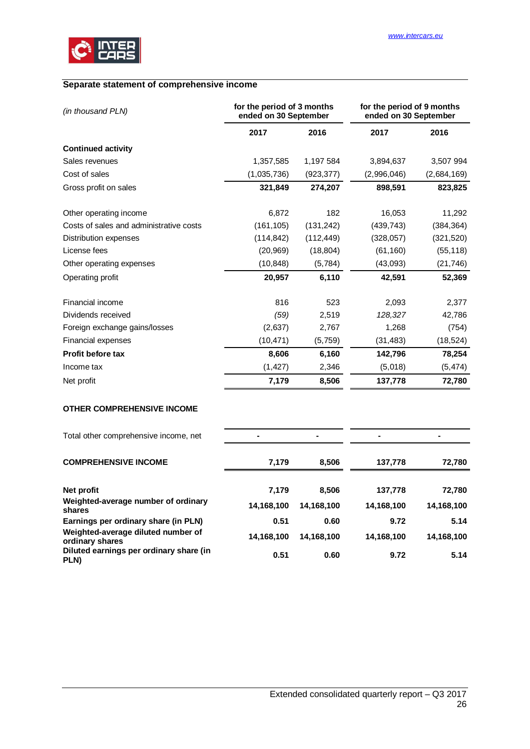

# <span id="page-25-0"></span>**Separate statement of comprehensive income**

| (in thousand PLN)                       | for the period of 3 months<br>ended on 30 September |            | for the period of 9 months<br>ended on 30 September |             |
|-----------------------------------------|-----------------------------------------------------|------------|-----------------------------------------------------|-------------|
|                                         | 2017                                                | 2016       | 2017                                                | 2016        |
| <b>Continued activity</b>               |                                                     |            |                                                     |             |
| Sales revenues                          | 1,357,585                                           | 1,197 584  | 3,894,637                                           | 3,507 994   |
| Cost of sales                           | (1,035,736)                                         | (923, 377) | (2,996,046)                                         | (2,684,169) |
| Gross profit on sales                   | 321,849                                             | 274,207    | 898,591                                             | 823,825     |
| Other operating income                  | 6,872                                               | 182        | 16,053                                              | 11,292      |
| Costs of sales and administrative costs | (161, 105)                                          | (131, 242) | (439, 743)                                          | (384, 364)  |
| Distribution expenses                   | (114, 842)                                          | (112, 449) | (328, 057)                                          | (321, 520)  |
| License fees                            | (20, 969)                                           | (18, 804)  | (61, 160)                                           | (55, 118)   |
| Other operating expenses                | (10, 848)                                           | (5,784)    | (43,093)                                            | (21, 746)   |
| Operating profit                        | 20,957                                              | 6,110      | 42,591                                              | 52,369      |
| Financial income                        | 816                                                 | 523        | 2,093                                               | 2,377       |
| Dividends received                      | (59)                                                | 2,519      | 128,327                                             | 42,786      |
| Foreign exchange gains/losses           | (2,637)                                             | 2,767      | 1,268                                               | (754)       |
| <b>Financial expenses</b>               | (10, 471)                                           | (5,759)    | (31, 483)                                           | (18, 524)   |
| Profit before tax                       | 8,606                                               | 6,160      | 142,796                                             | 78,254      |
| Income tax                              | (1, 427)                                            | 2,346      | (5,018)                                             | (5, 474)    |
| Net profit                              | 7,179                                               | 8,506      | 137,778                                             | 72,780      |
| <b>OTHER COMPREHENSIVE INCOME</b>       |                                                     |            |                                                     |             |

| Total other comprehensive income, net                 |            | $\blacksquare$ |            |            |
|-------------------------------------------------------|------------|----------------|------------|------------|
| <b>COMPREHENSIVE INCOME</b>                           | 7.179      | 8,506          | 137,778    | 72,780     |
| Net profit                                            | 7,179      | 8,506          | 137,778    | 72,780     |
| Weighted-average number of ordinary<br>shares         | 14,168,100 | 14,168,100     | 14,168,100 | 14,168,100 |
| Earnings per ordinary share (in PLN)                  | 0.51       | 0.60           | 9.72       | 5.14       |
| Weighted-average diluted number of<br>ordinary shares | 14,168,100 | 14,168,100     | 14,168,100 | 14,168,100 |
| Diluted earnings per ordinary share (in<br>PLN)       | 0.51       | 0.60           | 9.72       | 5.14       |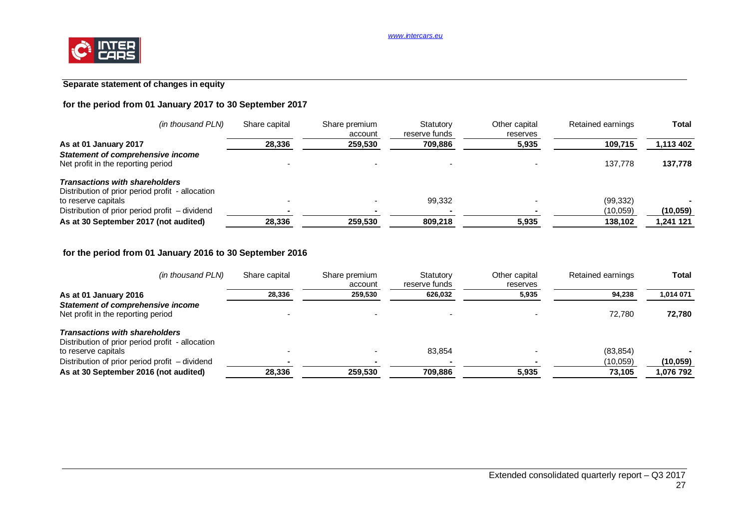# **Separate statement of changes in equity**

# **for the period from 01 January 2017 to 30 September 2017**

| (in thousand PLN)                                                                         | Share capital | Share premium<br>account | Statutory<br>reserve funds | Other capital<br>reserves | Retained earnings | Total     |
|-------------------------------------------------------------------------------------------|---------------|--------------------------|----------------------------|---------------------------|-------------------|-----------|
| As at 01 January 2017                                                                     | 28,336        | 259,530                  | 709,886                    | 5,935                     | 109,715           | 1,113 402 |
| <b>Statement of comprehensive income</b><br>Net profit in the reporting period            |               |                          |                            |                           | 137.778           | 137,778   |
| <b>Transactions with shareholders</b><br>Distribution of prior period profit - allocation |               |                          |                            |                           |                   |           |
| to reserve capitals                                                                       |               |                          | 99.332                     |                           | (99, 332)         |           |
| Distribution of prior period profit – dividend                                            |               |                          |                            |                           | (10,059)          | (10, 059) |
| As at 30 September 2017 (not audited)                                                     | 28,336        | 259,530                  | 809,218                    | 5,935                     | 138,102           | 1,241 121 |

# **for the period from 01 January 2016 to 30 September 2016**

| (in thousand PLN)                                | Share capital | Share premium<br>account | Statutory<br>reserve funds | Other capital<br>reserves | Retained earnings | <b>Total</b> |
|--------------------------------------------------|---------------|--------------------------|----------------------------|---------------------------|-------------------|--------------|
| As at 01 January 2016                            | 28.336        | 259.530                  | 626,032                    | 5,935                     | 94.238            | 1.014 071    |
| <b>Statement of comprehensive income</b>         |               |                          |                            |                           |                   |              |
| Net profit in the reporting period               |               |                          |                            |                           | 72.780            | 72,780       |
| <b>Transactions with shareholders</b>            |               |                          |                            |                           |                   |              |
| Distribution of prior period profit - allocation |               |                          |                            |                           |                   |              |
| to reserve capitals                              |               |                          | 83,854                     |                           | (83, 854)         |              |
| Distribution of prior period profit - dividend   |               |                          |                            |                           | (10,059)          | (10, 059)    |
| As at 30 September 2016 (not audited)            | 28,336        | 259,530                  | 709,886                    | 5,935                     | 73.105            | 1,076 792    |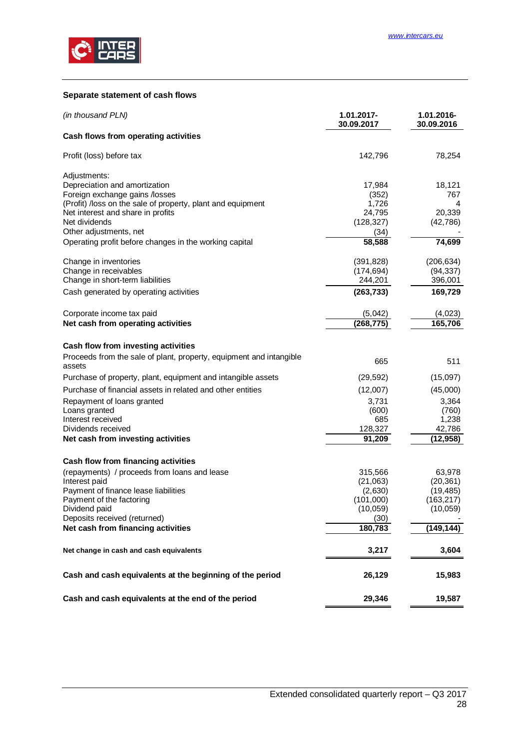

#### <span id="page-27-0"></span>**Separate statement of cash flows**

| (in thousand PLN)                                                                             | 1.01.2017-<br>30.09.2017 | 1.01.2016-<br>30.09.2016 |
|-----------------------------------------------------------------------------------------------|--------------------------|--------------------------|
| Cash flows from operating activities                                                          |                          |                          |
| Profit (loss) before tax                                                                      | 142,796                  | 78,254                   |
| Adjustments:                                                                                  |                          |                          |
| Depreciation and amortization                                                                 | 17,984                   | 18,121                   |
| Foreign exchange gains /losses<br>(Profit) /loss on the sale of property, plant and equipment | (352)<br>1,726           | 767<br>4                 |
| Net interest and share in profits                                                             | 24,795                   | 20,339                   |
| Net dividends                                                                                 | (128, 327)               | (42, 786)                |
| Other adjustments, net                                                                        | (34)                     |                          |
| Operating profit before changes in the working capital                                        | 58,588                   | 74,699                   |
| Change in inventories                                                                         | (391, 828)               | (206, 634)               |
| Change in receivables                                                                         | (174, 694)               | (94, 337)                |
| Change in short-term liabilities                                                              | 244,201                  | 396,001                  |
| Cash generated by operating activities                                                        | (263, 733)               | 169,729                  |
| Corporate income tax paid                                                                     | (5,042)                  | (4,023)                  |
| Net cash from operating activities                                                            | (268, 775)               | 165,706                  |
| Cash flow from investing activities                                                           |                          |                          |
| Proceeds from the sale of plant, property, equipment and intangible<br>assets                 | 665                      | 511                      |
| Purchase of property, plant, equipment and intangible assets                                  | (29, 592)                | (15,097)                 |
| Purchase of financial assets in related and other entities                                    | (12,007)                 | (45,000)                 |
| Repayment of loans granted                                                                    | 3,731                    | 3,364                    |
| Loans granted                                                                                 | (600)                    | (760)                    |
| Interest received                                                                             | 685                      | 1,238                    |
| Dividends received                                                                            | 128,327<br>91,209        | 42,786<br>(12, 958)      |
| Net cash from investing activities                                                            |                          |                          |
| Cash flow from financing activities                                                           |                          |                          |
| (repayments) / proceeds from loans and lease                                                  | 315,566                  | 63,978                   |
| Interest paid                                                                                 | (21,063)                 | (20, 361)                |
| Payment of finance lease liabilities<br>Payment of the factoring                              | (2,630)<br>(101,000)     | (19, 485)<br>(163, 217)  |
| Dividend paid                                                                                 | (10, 059)                | (10,059)                 |
| Deposits received (returned)                                                                  | (30)                     |                          |
| Net cash from financing activities                                                            | 180,783                  | (149,144)                |
| Net change in cash and cash equivalents                                                       | 3,217                    | 3,604                    |
| Cash and cash equivalents at the beginning of the period                                      | 26,129                   | 15,983                   |
| Cash and cash equivalents at the end of the period                                            | 29,346                   | 19,587                   |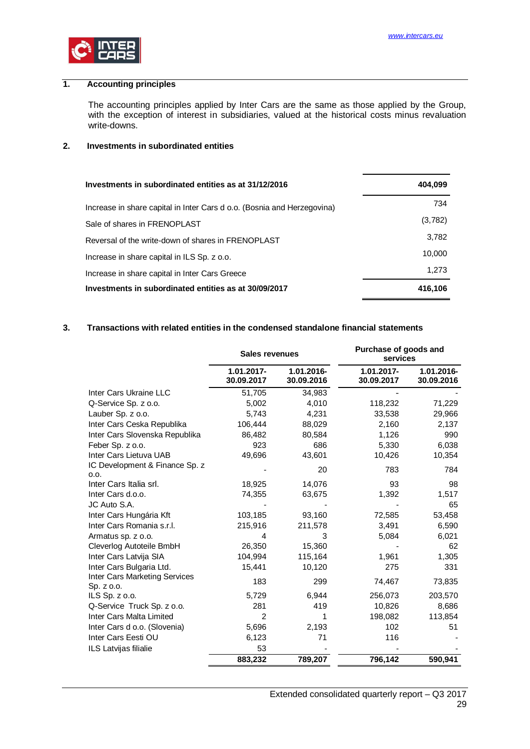

# **1. Accounting principles**

<span id="page-28-0"></span>The accounting principles applied by Inter Cars are the same as those applied by the Group, with the exception of interest in subsidiaries, valued at the historical costs minus revaluation write-downs.

#### <span id="page-28-1"></span>**2. Investments in subordinated entities**

| Investments in subordinated entities as at 31/12/2016                   | 404,099 |
|-------------------------------------------------------------------------|---------|
| Increase in share capital in Inter Cars d o.o. (Bosnia and Herzegovina) | 734     |
| Sale of shares in FRENOPLAST                                            | (3,782) |
| Reversal of the write-down of shares in FRENOPLAST                      | 3,782   |
| Increase in share capital in ILS Sp. z o.o.                             | 10,000  |
| Increase in share capital in Inter Cars Greece                          | 1.273   |
| Investments in subordinated entities as at 30/09/2017                   | 416.106 |

#### **3. Transactions with related entities in the condensed standalone financial statements**

<span id="page-28-2"></span>

|                                             | <b>Sales revenues</b>    |                          | Purchase of goods and<br>services |                          |
|---------------------------------------------|--------------------------|--------------------------|-----------------------------------|--------------------------|
|                                             | 1.01.2017-<br>30.09.2017 | 1.01.2016-<br>30.09.2016 | 1.01.2017-<br>30.09.2017          | 1.01.2016-<br>30.09.2016 |
| Inter Cars Ukraine LLC                      | 51,705                   | 34,983                   |                                   |                          |
| Q-Service Sp. z o.o.                        | 5,002                    | 4,010                    | 118,232                           | 71,229                   |
| Lauber Sp. z o.o.                           | 5,743                    | 4,231                    | 33,538                            | 29,966                   |
| Inter Cars Ceska Republika                  | 106,444                  | 88,029                   | 2,160                             | 2,137                    |
| Inter Cars Slovenska Republika              | 86,482                   | 80,584                   | 1,126                             | 990                      |
| Feber Sp. z o.o.                            | 923                      | 686                      | 5,330                             | 6,038                    |
| Inter Cars Lietuva UAB                      | 49,696                   | 43,601                   | 10,426                            | 10,354                   |
| IC Development & Finance Sp. z<br>0.0.      |                          | 20                       | 783                               | 784                      |
| Inter Cars Italia srl.                      | 18,925                   | 14,076                   | 93                                | 98                       |
| Inter Cars d.o.o.                           | 74,355                   | 63,675                   | 1,392                             | 1,517                    |
| JC Auto S.A.                                |                          |                          |                                   | 65                       |
| Inter Cars Hungária Kft                     | 103,185                  | 93,160                   | 72,585                            | 53,458                   |
| Inter Cars Romania s.r.l.                   | 215,916                  | 211,578                  | 3,491                             | 6,590                    |
| Armatus sp. z o.o.                          | 4                        | 3                        | 5,084                             | 6,021                    |
| Cleverlog Autoteile BmbH                    | 26,350                   | 15,360                   |                                   | 62                       |
| Inter Cars Latvija SIA                      | 104,994                  | 115,164                  | 1,961                             | 1,305                    |
| Inter Cars Bulgaria Ltd.                    | 15,441                   | 10,120                   | 275                               | 331                      |
| Inter Cars Marketing Services<br>Sp. z o.o. | 183                      | 299                      | 74,467                            | 73,835                   |
| ILS $Sp. z 0.0$ .                           | 5,729                    | 6,944                    | 256,073                           | 203,570                  |
| Q-Service Truck Sp. z o.o.                  | 281                      | 419                      | 10,826                            | 8,686                    |
| Inter Cars Malta Limited                    | 2                        | 1                        | 198,082                           | 113,854                  |
| Inter Cars d o.o. (Slovenia)                | 5,696                    | 2,193                    | 102                               | 51                       |
| Inter Cars Eesti OU                         | 6,123                    | 71                       | 116                               |                          |
| ILS Latvijas filialie                       | 53                       |                          |                                   |                          |
|                                             | 883,232                  | 789,207                  | 796,142                           | 590,941                  |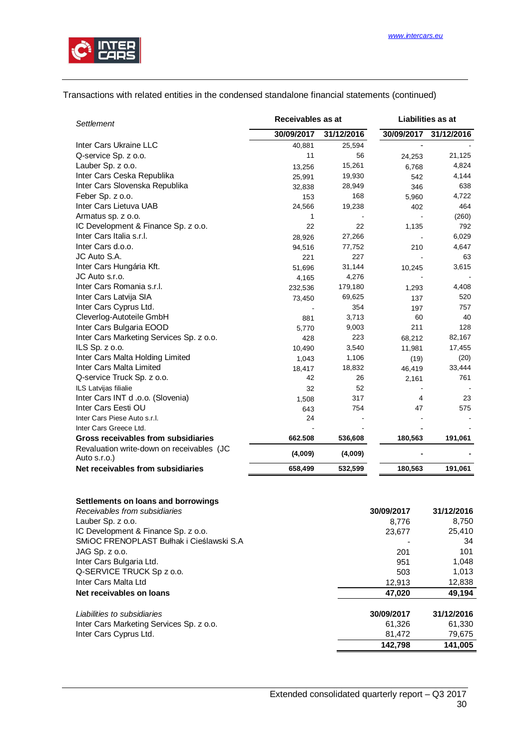

#### Transactions with related entities in the condensed standalone financial statements (continued)

| Settlement                                                | Receivables as at<br>Liabilities as at |            |            |            |
|-----------------------------------------------------------|----------------------------------------|------------|------------|------------|
|                                                           | 30/09/2017                             | 31/12/2016 | 30/09/2017 | 31/12/2016 |
| Inter Cars Ukraine LLC                                    | 40,881                                 | 25,594     |            |            |
| Q-service Sp. z o.o.                                      | 11                                     | 56         | 24,253     | 21,125     |
| Lauber Sp. z o.o.                                         | 13,256                                 | 15,261     | 6,768      | 4,824      |
| Inter Cars Ceska Republika                                | 25,991                                 | 19,930     | 542        | 4,144      |
| Inter Cars Slovenska Republika                            | 32,838                                 | 28,949     | 346        | 638        |
| Feber Sp. z o.o.                                          | 153                                    | 168        | 5,960      | 4,722      |
| Inter Cars Lietuva UAB                                    | 24,566                                 | 19,238     | 402        | 464        |
| Armatus sp. z o.o.                                        | 1                                      |            |            | (260)      |
| IC Development & Finance Sp. z o.o.                       | 22                                     | 22         | 1,135      | 792        |
| Inter Cars Italia s.r.l.                                  | 28,926                                 | 27,266     |            | 6,029      |
| Inter Cars d.o.o.                                         | 94,516                                 | 77,752     | 210        | 4,647      |
| JC Auto S.A.                                              | 221                                    | 227        |            | 63         |
| Inter Cars Hungária Kft.                                  | 51,696                                 | 31,144     | 10,245     | 3,615      |
| JC Auto s.r.o.                                            | 4,165                                  | 4,276      |            |            |
| Inter Cars Romania s.r.l.                                 | 232,536                                | 179,180    | 1,293      | 4,408      |
| Inter Cars Latvija SIA                                    | 73,450                                 | 69,625     | 137        | 520        |
| Inter Cars Cyprus Ltd.                                    |                                        | 354        | 197        | 757        |
| Cleverlog-Autoteile GmbH                                  | 881                                    | 3,713      | 60         | 40         |
| Inter Cars Bulgaria EOOD                                  | 5,770                                  | 9,003      | 211        | 128        |
| Inter Cars Marketing Services Sp. z o.o.                  | 428                                    | 223        | 68,212     | 82,167     |
| ILS Sp. z o.o.                                            | 10,490                                 | 3,540      | 11,981     | 17,455     |
| Inter Cars Malta Holding Limited                          | 1,043                                  | 1,106      | (19)       | (20)       |
| Inter Cars Malta Limited                                  | 18,417                                 | 18,832     | 46,419     | 33,444     |
| Q-service Truck Sp. z o.o.                                | 42                                     | 26         | 2,161      | 761        |
| ILS Latvijas filialie                                     | 32                                     | 52         |            |            |
| Inter Cars INT d .o.o. (Slovenia)                         | 1,508                                  | 317        | 4          | 23         |
| Inter Cars Eesti OU                                       | 643                                    | 754        | 47         | 575        |
| Inter Cars Piese Auto s.r.l.                              | 24                                     |            |            |            |
| Inter Cars Greece Ltd.                                    |                                        |            |            |            |
| Gross receivables from subsidiaries                       | 662.508                                | 536,608    | 180,563    | 191,061    |
| Revaluation write-down on receivables (JC<br>Auto s.r.o.) | (4,009)                                | (4,009)    |            |            |
| Net receivables from subsidiaries                         | 658,499                                | 532,599    | 180,563    | 191,061    |

# **Settlements on loans and borrowings**

| Receivables from subsidiaries            | 30/09/2017 | 31/12/2016 |
|------------------------------------------|------------|------------|
| Lauber Sp. z o.o.                        | 8.776      | 8,750      |
| IC Development & Finance Sp. z o.o.      | 23,677     | 25,410     |
| SMIOC FRENOPLAST Bułhak i Cieślawski S.A |            | 34         |
| $JAG$ Sp. $z$ o.o.                       | 201        | 101        |
| Inter Cars Bulgaria Ltd.                 | 951        | 1,048      |
| Q-SERVICE TRUCK Sp z o.o.                | 503        | 1.013      |
| Inter Cars Malta Ltd                     | 12,913     | 12,838     |
| Net receivables on loans                 | 47,020     | 49.194     |
| Liabilities to subsidiaries              | 30/09/2017 | 31/12/2016 |
| Inter Cars Marketing Services Sp. z o.o. | 61,326     | 61,330     |
| Inter Cars Cyprus Ltd.                   | 81,472     | 79,675     |
|                                          | 142.798    | 141.005    |